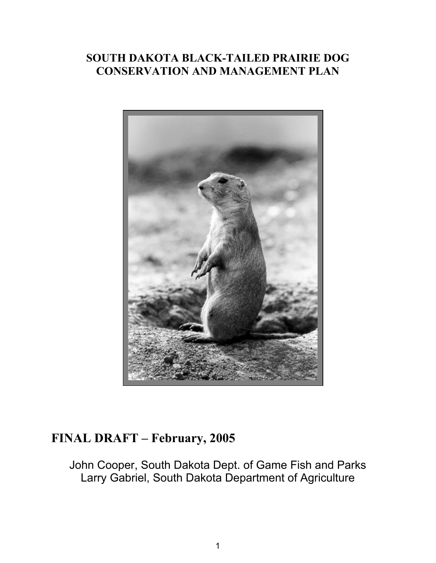# **SOUTH DAKOTA BLACK-TAILED PRAIRIE DOG CONSERVATION AND MANAGEMENT PLAN**



# **FINAL DRAFT – February, 2005**

John Cooper, South Dakota Dept. of Game Fish and Parks Larry Gabriel, South Dakota Department of Agriculture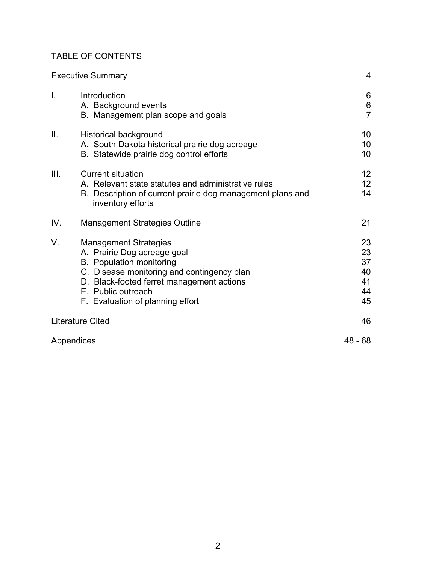## TABLE OF CONTENTS

|            | <b>Executive Summary</b>                                                                                                                                                                                                                            | 4                                       |
|------------|-----------------------------------------------------------------------------------------------------------------------------------------------------------------------------------------------------------------------------------------------------|-----------------------------------------|
| I.         | Introduction<br>A. Background events<br>B. Management plan scope and goals                                                                                                                                                                          | 6<br>$\boldsymbol{6}$<br>$\overline{7}$ |
| Ш.         | Historical background<br>A. South Dakota historical prairie dog acreage<br>B. Statewide prairie dog control efforts                                                                                                                                 | 10<br>10<br>10                          |
| III.       | <b>Current situation</b><br>A. Relevant state statutes and administrative rules<br>B. Description of current prairie dog management plans and<br>inventory efforts                                                                                  | 12<br>12<br>14                          |
| IV.        | <b>Management Strategies Outline</b>                                                                                                                                                                                                                | 21                                      |
| V.         | <b>Management Strategies</b><br>A. Prairie Dog acreage goal<br><b>B.</b> Population monitoring<br>C. Disease monitoring and contingency plan<br>D. Black-footed ferret management actions<br>E. Public outreach<br>F. Evaluation of planning effort | 23<br>23<br>37<br>40<br>41<br>44<br>45  |
|            | <b>Literature Cited</b>                                                                                                                                                                                                                             | 46                                      |
| Appendices |                                                                                                                                                                                                                                                     | $48 - 68$                               |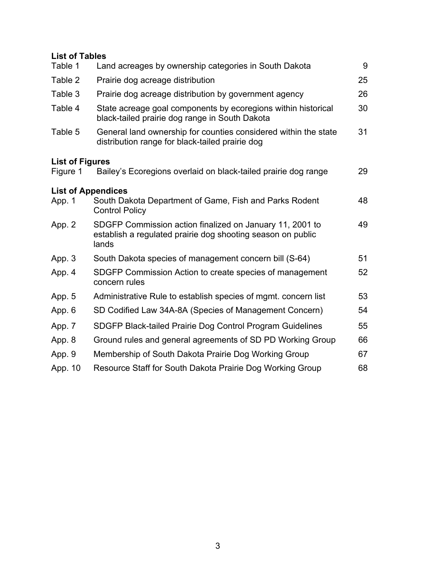## **List of Tables**

| Table 1                | Land acreages by ownership categories in South Dakota                                                                            | 9  |  |  |  |  |
|------------------------|----------------------------------------------------------------------------------------------------------------------------------|----|--|--|--|--|
| Table 2                | Prairie dog acreage distribution                                                                                                 | 25 |  |  |  |  |
| Table 3                | Prairie dog acreage distribution by government agency                                                                            | 26 |  |  |  |  |
| Table 4                | State acreage goal components by ecoregions within historical<br>black-tailed prairie dog range in South Dakota                  | 30 |  |  |  |  |
| Table 5                | General land ownership for counties considered within the state<br>distribution range for black-tailed prairie dog               |    |  |  |  |  |
| <b>List of Figures</b> |                                                                                                                                  |    |  |  |  |  |
| Figure 1               | Bailey's Ecoregions overlaid on black-tailed prairie dog range                                                                   | 29 |  |  |  |  |
|                        | <b>List of Appendices</b>                                                                                                        |    |  |  |  |  |
| App. 1                 | South Dakota Department of Game, Fish and Parks Rodent<br><b>Control Policy</b>                                                  | 48 |  |  |  |  |
| App. 2                 | SDGFP Commission action finalized on January 11, 2001 to<br>establish a regulated prairie dog shooting season on public<br>lands | 49 |  |  |  |  |
| App. 3                 | South Dakota species of management concern bill (S-64)                                                                           | 51 |  |  |  |  |
| App. 4                 | SDGFP Commission Action to create species of management<br>concern rules                                                         | 52 |  |  |  |  |
| App. 5                 | Administrative Rule to establish species of mgmt. concern list                                                                   | 53 |  |  |  |  |
| App. 6                 | SD Codified Law 34A-8A (Species of Management Concern)                                                                           | 54 |  |  |  |  |
| App. 7                 | SDGFP Black-tailed Prairie Dog Control Program Guidelines                                                                        | 55 |  |  |  |  |
| App. 8                 | Ground rules and general agreements of SD PD Working Group                                                                       | 66 |  |  |  |  |
| App. 9                 | Membership of South Dakota Prairie Dog Working Group                                                                             | 67 |  |  |  |  |
| App. 10                | Resource Staff for South Dakota Prairie Dog Working Group                                                                        | 68 |  |  |  |  |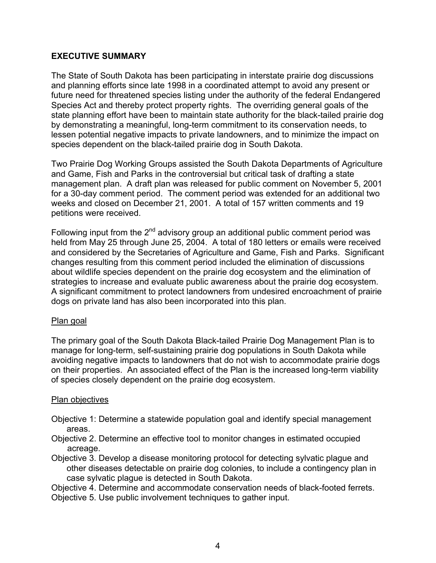## **EXECUTIVE SUMMARY**

The State of South Dakota has been participating in interstate prairie dog discussions and planning efforts since late 1998 in a coordinated attempt to avoid any present or future need for threatened species listing under the authority of the federal Endangered Species Act and thereby protect property rights. The overriding general goals of the state planning effort have been to maintain state authority for the black-tailed prairie dog by demonstrating a meaningful, long-term commitment to its conservation needs, to lessen potential negative impacts to private landowners, and to minimize the impact on species dependent on the black-tailed prairie dog in South Dakota.

Two Prairie Dog Working Groups assisted the South Dakota Departments of Agriculture and Game, Fish and Parks in the controversial but critical task of drafting a state management plan. A draft plan was released for public comment on November 5, 2001 for a 30-day comment period. The comment period was extended for an additional two weeks and closed on December 21, 2001. A total of 157 written comments and 19 petitions were received.

Following input from the  $2<sup>nd</sup>$  advisory group an additional public comment period was held from May 25 through June 25, 2004. A total of 180 letters or emails were received and considered by the Secretaries of Agriculture and Game, Fish and Parks. Significant changes resulting from this comment period included the elimination of discussions about wildlife species dependent on the prairie dog ecosystem and the elimination of strategies to increase and evaluate public awareness about the prairie dog ecosystem. A significant commitment to protect landowners from undesired encroachment of prairie dogs on private land has also been incorporated into this plan.

## Plan goal

The primary goal of the South Dakota Black-tailed Prairie Dog Management Plan is to manage for long-term, self-sustaining prairie dog populations in South Dakota while avoiding negative impacts to landowners that do not wish to accommodate prairie dogs on their properties. An associated effect of the Plan is the increased long-term viability of species closely dependent on the prairie dog ecosystem.

## Plan objectives

- Objective 1: Determine a statewide population goal and identify special management areas.
- Objective 2. Determine an effective tool to monitor changes in estimated occupied acreage.
- Objective 3. Develop a disease monitoring protocol for detecting sylvatic plague and other diseases detectable on prairie dog colonies, to include a contingency plan in case sylvatic plague is detected in South Dakota.

Objective 4. Determine and accommodate conservation needs of black-footed ferrets. Objective 5. Use public involvement techniques to gather input.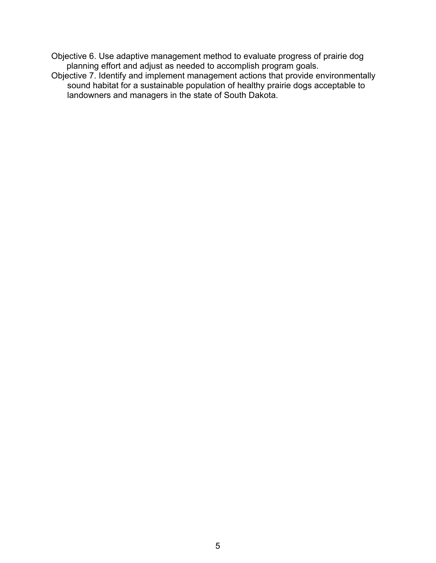Objective 6. Use adaptive management method to evaluate progress of prairie dog planning effort and adjust as needed to accomplish program goals.

Objective 7. Identify and implement management actions that provide environmentally sound habitat for a sustainable population of healthy prairie dogs acceptable to landowners and managers in the state of South Dakota.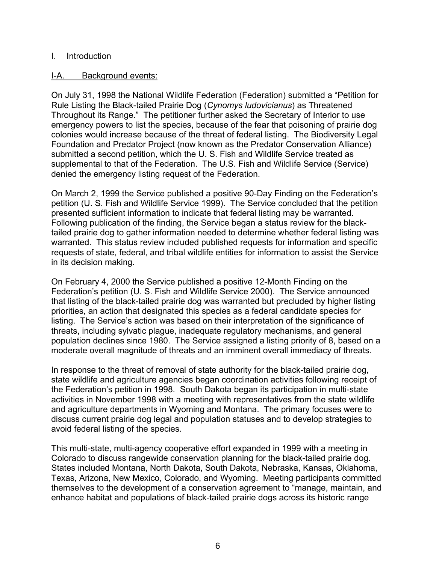## I. Introduction

## I-A. Background events:

On July 31, 1998 the National Wildlife Federation (Federation) submitted a "Petition for Rule Listing the Black-tailed Prairie Dog (*Cynomys ludovicianus*) as Threatened Throughout its Range." The petitioner further asked the Secretary of Interior to use emergency powers to list the species, because of the fear that poisoning of prairie dog colonies would increase because of the threat of federal listing. The Biodiversity Legal Foundation and Predator Project (now known as the Predator Conservation Alliance) submitted a second petition, which the U. S. Fish and Wildlife Service treated as supplemental to that of the Federation. The U.S. Fish and Wildlife Service (Service) denied the emergency listing request of the Federation.

On March 2, 1999 the Service published a positive 90-Day Finding on the Federation's petition (U. S. Fish and Wildlife Service 1999). The Service concluded that the petition presented sufficient information to indicate that federal listing may be warranted. Following publication of the finding, the Service began a status review for the blacktailed prairie dog to gather information needed to determine whether federal listing was warranted. This status review included published requests for information and specific requests of state, federal, and tribal wildlife entities for information to assist the Service in its decision making.

On February 4, 2000 the Service published a positive 12-Month Finding on the Federation's petition (U. S. Fish and Wildlife Service 2000). The Service announced that listing of the black-tailed prairie dog was warranted but precluded by higher listing priorities, an action that designated this species as a federal candidate species for listing. The Service's action was based on their interpretation of the significance of threats, including sylvatic plague, inadequate regulatory mechanisms, and general population declines since 1980. The Service assigned a listing priority of 8, based on a moderate overall magnitude of threats and an imminent overall immediacy of threats.

In response to the threat of removal of state authority for the black-tailed prairie dog, state wildlife and agriculture agencies began coordination activities following receipt of the Federation's petition in 1998. South Dakota began its participation in multi-state activities in November 1998 with a meeting with representatives from the state wildlife and agriculture departments in Wyoming and Montana. The primary focuses were to discuss current prairie dog legal and population statuses and to develop strategies to avoid federal listing of the species.

This multi-state, multi-agency cooperative effort expanded in 1999 with a meeting in Colorado to discuss rangewide conservation planning for the black-tailed prairie dog. States included Montana, North Dakota, South Dakota, Nebraska, Kansas, Oklahoma, Texas, Arizona, New Mexico, Colorado, and Wyoming. Meeting participants committed themselves to the development of a conservation agreement to "manage, maintain, and enhance habitat and populations of black-tailed prairie dogs across its historic range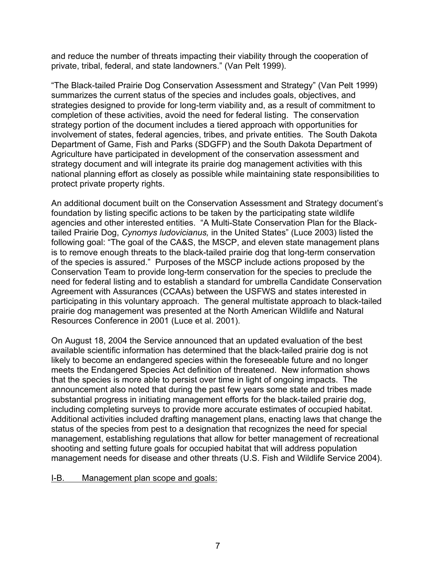and reduce the number of threats impacting their viability through the cooperation of private, tribal, federal, and state landowners." (Van Pelt 1999).

"The Black-tailed Prairie Dog Conservation Assessment and Strategy" (Van Pelt 1999) summarizes the current status of the species and includes goals, objectives, and strategies designed to provide for long-term viability and, as a result of commitment to completion of these activities, avoid the need for federal listing. The conservation strategy portion of the document includes a tiered approach with opportunities for involvement of states, federal agencies, tribes, and private entities. The South Dakota Department of Game, Fish and Parks (SDGFP) and the South Dakota Department of Agriculture have participated in development of the conservation assessment and strategy document and will integrate its prairie dog management activities with this national planning effort as closely as possible while maintaining state responsibilities to protect private property rights.

An additional document built on the Conservation Assessment and Strategy document's foundation by listing specific actions to be taken by the participating state wildlife agencies and other interested entities. "A Multi-State Conservation Plan for the Blacktailed Prairie Dog, *Cynomys ludovicianus,* in the United States" (Luce 2003) listed the following goal: "The goal of the CA&S, the MSCP, and eleven state management plans is to remove enough threats to the black-tailed prairie dog that long-term conservation of the species is assured." Purposes of the MSCP include actions proposed by the Conservation Team to provide long-term conservation for the species to preclude the need for federal listing and to establish a standard for umbrella Candidate Conservation Agreement with Assurances (CCAAs) between the USFWS and states interested in participating in this voluntary approach. The general multistate approach to black-tailed prairie dog management was presented at the North American Wildlife and Natural Resources Conference in 2001 (Luce et al. 2001).

On August 18, 2004 the Service announced that an updated evaluation of the best available scientific information has determined that the black-tailed prairie dog is not likely to become an endangered species within the foreseeable future and no longer meets the Endangered Species Act definition of threatened. New information shows that the species is more able to persist over time in light of ongoing impacts. The announcement also noted that during the past few years some state and tribes made substantial progress in initiating management efforts for the black-tailed prairie dog, including completing surveys to provide more accurate estimates of occupied habitat. Additional activities included drafting management plans, enacting laws that change the status of the species from pest to a designation that recognizes the need for special management, establishing regulations that allow for better management of recreational shooting and setting future goals for occupied habitat that will address population management needs for disease and other threats (U.S. Fish and Wildlife Service 2004).

## I-B. Management plan scope and goals: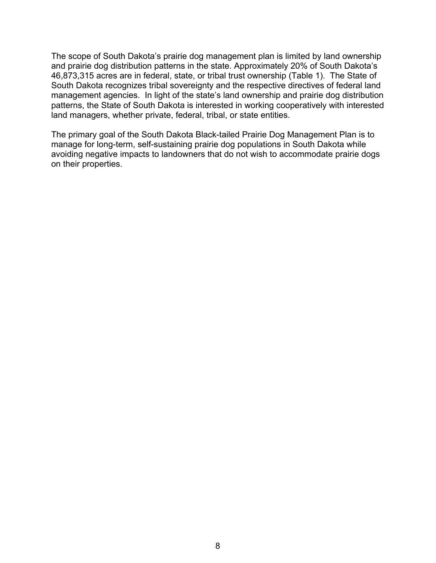The scope of South Dakota's prairie dog management plan is limited by land ownership and prairie dog distribution patterns in the state. Approximately 20% of South Dakota's 46,873,315 acres are in federal, state, or tribal trust ownership (Table 1). The State of South Dakota recognizes tribal sovereignty and the respective directives of federal land management agencies. In light of the state's land ownership and prairie dog distribution patterns, the State of South Dakota is interested in working cooperatively with interested land managers, whether private, federal, tribal, or state entities.

The primary goal of the South Dakota Black-tailed Prairie Dog Management Plan is to manage for long-term, self-sustaining prairie dog populations in South Dakota while avoiding negative impacts to landowners that do not wish to accommodate prairie dogs on their properties.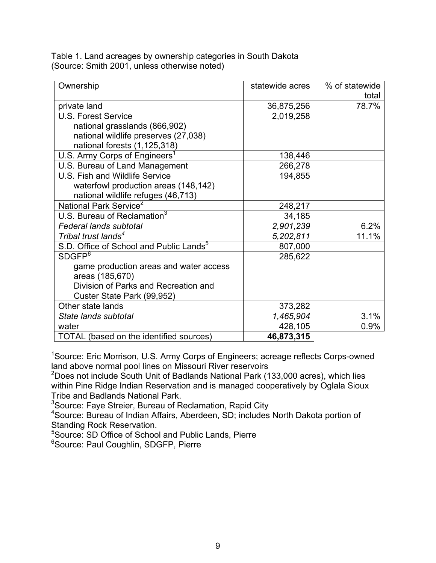Table 1. Land acreages by ownership categories in South Dakota (Source: Smith 2001, unless otherwise noted)

| Ownership                                           | statewide acres | % of statewide |
|-----------------------------------------------------|-----------------|----------------|
|                                                     |                 | total          |
| private land                                        | 36,875,256      | 78.7%          |
| <b>U.S. Forest Service</b>                          | 2,019,258       |                |
| national grasslands (866,902)                       |                 |                |
| national wildlife preserves (27,038)                |                 |                |
| national forests (1,125,318)                        |                 |                |
| U.S. Army Corps of Engineers                        | 138,446         |                |
| U.S. Bureau of Land Management                      | 266,278         |                |
| U.S. Fish and Wildlife Service                      | 194,855         |                |
| waterfowl production areas (148,142)                |                 |                |
| national wildlife refuges (46,713)                  |                 |                |
| National Park Service <sup>2</sup>                  | 248,217         |                |
| U.S. Bureau of Reclamation <sup>3</sup>             | 34,185          |                |
| <b>Federal lands subtotal</b>                       | 2,901,239       | 6.2%           |
| Tribal trust lands <sup>4</sup>                     | 5,202,811       | 11.1%          |
| S.D. Office of School and Public Lands <sup>5</sup> | 807,000         |                |
| SDSFP <sup>6</sup>                                  | 285,622         |                |
| game production areas and water access              |                 |                |
| areas (185,670)                                     |                 |                |
| Division of Parks and Recreation and                |                 |                |
| Custer State Park (99,952)                          |                 |                |
| Other state lands                                   | 373,282         |                |
| State lands subtotal                                | 1,465,904       | 3.1%           |
| water                                               | 428,105         | 0.9%           |
| TOTAL (based on the identified sources)             | 46,873,315      |                |

<sup>1</sup>Source: Eric Morrison, U.S. Army Corps of Engineers; acreage reflects Corps-owned land above normal pool lines on Missouri River reservoirs

<sup>2</sup>Does not include South Unit of Badlands National Park (133,000 acres), which lies within Pine Ridge Indian Reservation and is managed cooperatively by Oglala Sioux Tribe and Badlands National Park.

 ${}^{3}$ Source: Faye Streier, Bureau of Reclamation, Rapid City

4 Source: Bureau of Indian Affairs, Aberdeen, SD; includes North Dakota portion of

Standing Rock Reservation. 5 Source: SD Office of School and Public Lands, Pierre

<sup>6</sup>Source: Paul Coughlin, SDGFP, Pierre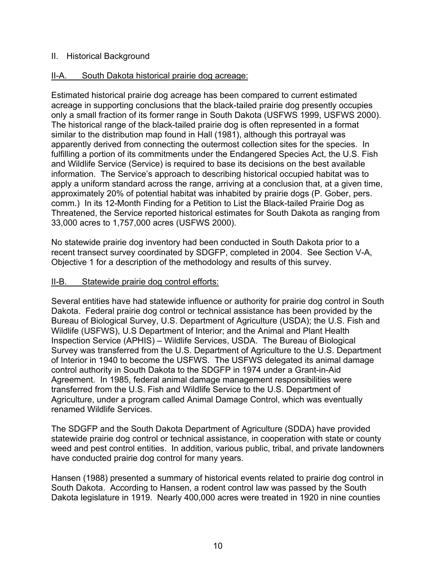## II. Historical Background

## II-A. South Dakota historical prairie dog acreage:

Estimated historical prairie dog acreage has been compared to current estimated acreage in supporting conclusions that the black-tailed prairie dog presently occupies only a small fraction of its former range in South Dakota (USFWS 1999, USFWS 2000). The historical range of the black-tailed prairie dog is often represented in a format similar to the distribution map found in Hall (1981), although this portrayal was apparently derived from connecting the outermost collection sites for the species. In fulfilling a portion of its commitments under the Endangered Species Act, the U.S. Fish and Wildlife Service (Service) is required to base its decisions on the best available information. The Service's approach to describing historical occupied habitat was to apply a uniform standard across the range, arriving at a conclusion that, at a given time, approximately 20% of potential habitat was inhabited by prairie dogs (P. Gober, pers. comm.) In its 12-Month Finding for a Petition to List the Black-tailed Prairie Dog as Threatened, the Service reported historical estimates for South Dakota as ranging from 33,000 acres to 1,757,000 acres (USFWS 2000).

No statewide prairie dog inventory had been conducted in South Dakota prior to a recent transect survey coordinated by SDGFP, completed in 2004. See Section V-A, Objective 1 for a description of the methodology and results of this survey.

#### II-B. Statewide prairie dog control efforts:

Several entities have had statewide influence or authority for prairie dog control in South Dakota. Federal prairie dog control or technical assistance has been provided by the Bureau of Biological Survey, U.S. Department of Agriculture (USDA); the U.S. Fish and Wildlife (USFWS), U.S Department of Interior; and the Animal and Plant Health Inspection Service (APHIS) – Wildlife Services, USDA. The Bureau of Biological Survey was transferred from the U.S. Department of Agriculture to the U.S. Department of Interior in 1940 to become the USFWS. The USFWS delegated its animal damage control authority in South Dakota to the SDGFP in 1974 under a Grant-in-Aid Agreement. In 1985, federal animal damage management responsibilities were transferred from the U.S. Fish and Wildlife Service to the U.S. Department of Agriculture, under a program called Animal Damage Control, which was eventually renamed Wildlife Services.

The SDGFP and the South Dakota Department of Agriculture (SDDA) have provided statewide prairie dog control or technical assistance, in cooperation with state or county weed and pest control entities. In addition, various public, tribal, and private landowners have conducted prairie dog control for many years.

Hansen (1988) presented a summary of historical events related to prairie dog control in South Dakota. According to Hansen, a rodent control law was passed by the South Dakota legislature in 1919. Nearly 400,000 acres were treated in 1920 in nine counties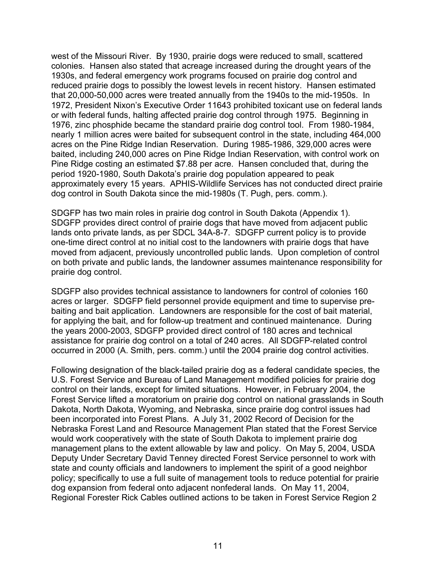west of the Missouri River. By 1930, prairie dogs were reduced to small, scattered colonies. Hansen also stated that acreage increased during the drought years of the 1930s, and federal emergency work programs focused on prairie dog control and reduced prairie dogs to possibly the lowest levels in recent history. Hansen estimated that 20,000-50,000 acres were treated annually from the 1940s to the mid-1950s. In 1972, President Nixon's Executive Order 11643 prohibited toxicant use on federal lands or with federal funds, halting affected prairie dog control through 1975. Beginning in 1976, zinc phosphide became the standard prairie dog control tool. From 1980-1984, nearly 1 million acres were baited for subsequent control in the state, including 464,000 acres on the Pine Ridge Indian Reservation. During 1985-1986, 329,000 acres were baited, including 240,000 acres on Pine Ridge Indian Reservation, with control work on Pine Ridge costing an estimated \$7.88 per acre. Hansen concluded that, during the period 1920-1980, South Dakota's prairie dog population appeared to peak approximately every 15 years. APHIS-Wildlife Services has not conducted direct prairie dog control in South Dakota since the mid-1980s (T. Pugh, pers. comm.).

SDGFP has two main roles in prairie dog control in South Dakota (Appendix 1). SDGFP provides direct control of prairie dogs that have moved from adjacent public lands onto private lands, as per SDCL 34A-8-7. SDGFP current policy is to provide one-time direct control at no initial cost to the landowners with prairie dogs that have moved from adjacent, previously uncontrolled public lands. Upon completion of control on both private and public lands, the landowner assumes maintenance responsibility for prairie dog control.

SDGFP also provides technical assistance to landowners for control of colonies 160 acres or larger. SDGFP field personnel provide equipment and time to supervise prebaiting and bait application. Landowners are responsible for the cost of bait material, for applying the bait, and for follow-up treatment and continued maintenance. During the years 2000-2003, SDGFP provided direct control of 180 acres and technical assistance for prairie dog control on a total of 240 acres. All SDGFP-related control occurred in 2000 (A. Smith, pers. comm.) until the 2004 prairie dog control activities.

Following designation of the black-tailed prairie dog as a federal candidate species, the U.S. Forest Service and Bureau of Land Management modified policies for prairie dog control on their lands, except for limited situations. However, in February 2004, the Forest Service lifted a moratorium on prairie dog control on national grasslands in South Dakota, North Dakota, Wyoming, and Nebraska, since prairie dog control issues had been incorporated into Forest Plans. A July 31, 2002 Record of Decision for the Nebraska Forest Land and Resource Management Plan stated that the Forest Service would work cooperatively with the state of South Dakota to implement prairie dog management plans to the extent allowable by law and policy. On May 5, 2004, USDA Deputy Under Secretary David Tenney directed Forest Service personnel to work with state and county officials and landowners to implement the spirit of a good neighbor policy; specifically to use a full suite of management tools to reduce potential for prairie dog expansion from federal onto adjacent nonfederal lands. On May 11, 2004, Regional Forester Rick Cables outlined actions to be taken in Forest Service Region 2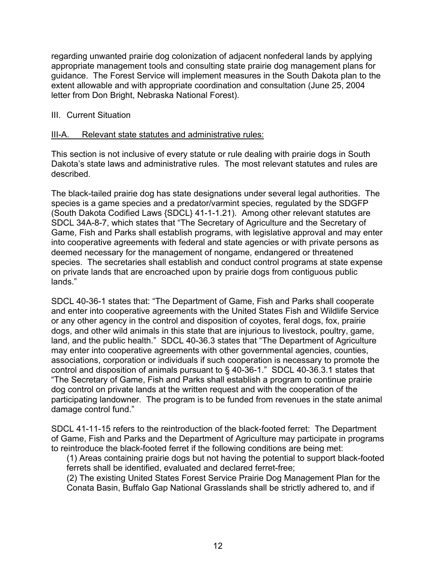regarding unwanted prairie dog colonization of adjacent nonfederal lands by applying appropriate management tools and consulting state prairie dog management plans for guidance. The Forest Service will implement measures in the South Dakota plan to the extent allowable and with appropriate coordination and consultation (June 25, 2004 letter from Don Bright, Nebraska National Forest).

## III. Current Situation

## III-A. Relevant state statutes and administrative rules:

This section is not inclusive of every statute or rule dealing with prairie dogs in South Dakota's state laws and administrative rules. The most relevant statutes and rules are described.

The black-tailed prairie dog has state designations under several legal authorities. The species is a game species and a predator/varmint species, regulated by the SDGFP (South Dakota Codified Laws {SDCL} 41-1-1.21). Among other relevant statutes are SDCL 34A-8-7, which states that "The Secretary of Agriculture and the Secretary of Game, Fish and Parks shall establish programs, with legislative approval and may enter into cooperative agreements with federal and state agencies or with private persons as deemed necessary for the management of nongame, endangered or threatened species. The secretaries shall establish and conduct control programs at state expense on private lands that are encroached upon by prairie dogs from contiguous public lands."

SDCL 40-36-1 states that: "The Department of Game, Fish and Parks shall cooperate and enter into cooperative agreements with the United States Fish and Wildlife Service or any other agency in the control and disposition of coyotes, feral dogs, fox, prairie dogs, and other wild animals in this state that are injurious to livestock, poultry, game, land, and the public health." SDCL 40-36.3 states that "The Department of Agriculture may enter into cooperative agreements with other governmental agencies, counties, associations, corporation or individuals if such cooperation is necessary to promote the control and disposition of animals pursuant to § 40-36-1." SDCL 40-36.3.1 states that "The Secretary of Game, Fish and Parks shall establish a program to continue prairie dog control on private lands at the written request and with the cooperation of the participating landowner. The program is to be funded from revenues in the state animal damage control fund."

SDCL 41-11-15 refers to the reintroduction of the black-footed ferret: The Department of Game, Fish and Parks and the Department of Agriculture may participate in programs to reintroduce the black-footed ferret if the following conditions are being met:

(1) Areas containing prairie dogs but not having the potential to support black-footed ferrets shall be identified, evaluated and declared ferret-free;

(2) The existing United States Forest Service Prairie Dog Management Plan for the Conata Basin, Buffalo Gap National Grasslands shall be strictly adhered to, and if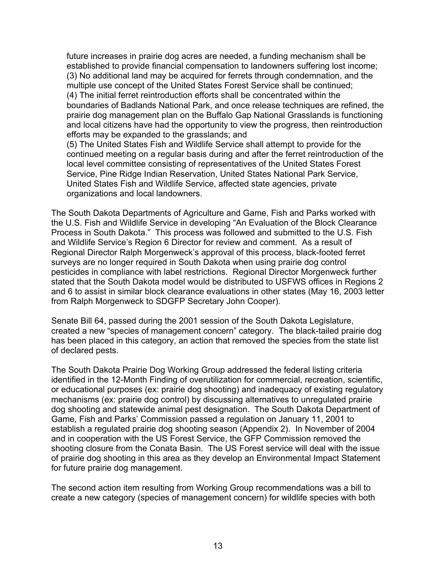future increases in prairie dog acres are needed, a funding mechanism shall be established to provide financial compensation to landowners suffering lost income; (3) No additional land may be acquired for ferrets through condemnation, and the multiple use concept of the United States Forest Service shall be continued; (4) The initial ferret reintroduction efforts shall be concentrated within the boundaries of Badlands National Park, and once release techniques are refined, the prairie dog management plan on the Buffalo Gap National Grasslands is functioning and local citizens have had the opportunity to view the progress, then reintroduction efforts may be expanded to the grasslands; and

(5) The United States Fish and Wildlife Service shall attempt to provide for the continued meeting on a regular basis during and after the ferret reintroduction of the local level committee consisting of representatives of the United States Forest Service, Pine Ridge Indian Reservation, United States National Park Service, United States Fish and Wildlife Service, affected state agencies, private organizations and local landowners.

The South Dakota Departments of Agriculture and Game, Fish and Parks worked with the U.S. Fish and Wildlife Service in developing "An Evaluation of the Block Clearance Process in South Dakota." This process was followed and submitted to the U.S. Fish and Wildlife Service's Region 6 Director for review and comment. As a result of Regional Director Ralph Morgenweck's approval of this process, black-footed ferret surveys are no longer required in South Dakota when using prairie dog control pesticides in compliance with label restrictions. Regional Director Morgenweck further stated that the South Dakota model would be distributed to USFWS offices in Regions 2 and 6 to assist in similar block clearance evaluations in other states (May 16, 2003 letter from Ralph Morgenweck to SDGFP Secretary John Cooper).

Senate Bill 64, passed during the 2001 session of the South Dakota Legislature, created a new "species of management concern" category. The black-tailed prairie dog has been placed in this category, an action that removed the species from the state list of declared pests.

The South Dakota Prairie Dog Working Group addressed the federal listing criteria identified in the 12-Month Finding of overutilization for commercial, recreation, scientific, or educational purposes (ex: prairie dog shooting) and inadequacy of existing regulatory mechanisms (ex: prairie dog control) by discussing alternatives to unregulated prairie dog shooting and statewide animal pest designation. The South Dakota Department of Game, Fish and Parks' Commission passed a regulation on January 11, 2001 to establish a regulated prairie dog shooting season (Appendix 2). In November of 2004 and in cooperation with the US Forest Service, the GFP Commission removed the shooting closure from the Conata Basin. The US Forest service will deal with the issue of prairie dog shooting in this area as they develop an Environmental Impact Statement for future prairie dog management.

The second action item resulting from Working Group recommendations was a bill to create a new category (species of management concern) for wildlife species with both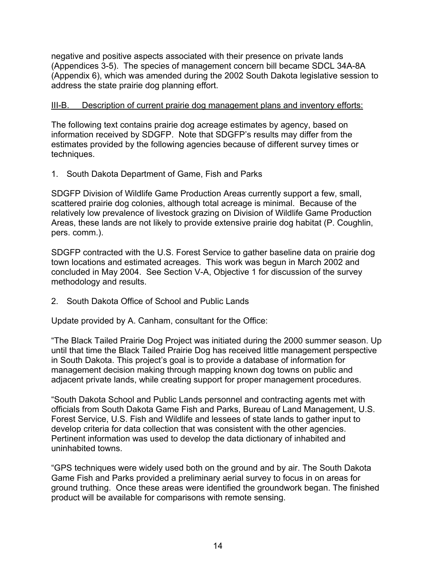negative and positive aspects associated with their presence on private lands (Appendices 3-5). The species of management concern bill became SDCL 34A-8A (Appendix 6), which was amended during the 2002 South Dakota legislative session to address the state prairie dog planning effort.

## III-B. Description of current prairie dog management plans and inventory efforts:

The following text contains prairie dog acreage estimates by agency, based on information received by SDGFP. Note that SDGFP's results may differ from the estimates provided by the following agencies because of different survey times or techniques.

1. South Dakota Department of Game, Fish and Parks

SDGFP Division of Wildlife Game Production Areas currently support a few, small, scattered prairie dog colonies, although total acreage is minimal. Because of the relatively low prevalence of livestock grazing on Division of Wildlife Game Production Areas, these lands are not likely to provide extensive prairie dog habitat (P. Coughlin, pers. comm.).

SDGFP contracted with the U.S. Forest Service to gather baseline data on prairie dog town locations and estimated acreages. This work was begun in March 2002 and concluded in May 2004. See Section V-A, Objective 1 for discussion of the survey methodology and results.

2. South Dakota Office of School and Public Lands

Update provided by A. Canham, consultant for the Office:

"The Black Tailed Prairie Dog Project was initiated during the 2000 summer season. Up until that time the Black Tailed Prairie Dog has received little management perspective in South Dakota. This project's goal is to provide a database of information for management decision making through mapping known dog towns on public and adjacent private lands, while creating support for proper management procedures.

"South Dakota School and Public Lands personnel and contracting agents met with officials from South Dakota Game Fish and Parks, Bureau of Land Management, U.S. Forest Service, U.S. Fish and Wildlife and lessees of state lands to gather input to develop criteria for data collection that was consistent with the other agencies. Pertinent information was used to develop the data dictionary of inhabited and uninhabited towns.

"GPS techniques were widely used both on the ground and by air. The South Dakota Game Fish and Parks provided a preliminary aerial survey to focus in on areas for ground truthing. Once these areas were identified the groundwork began. The finished product will be available for comparisons with remote sensing.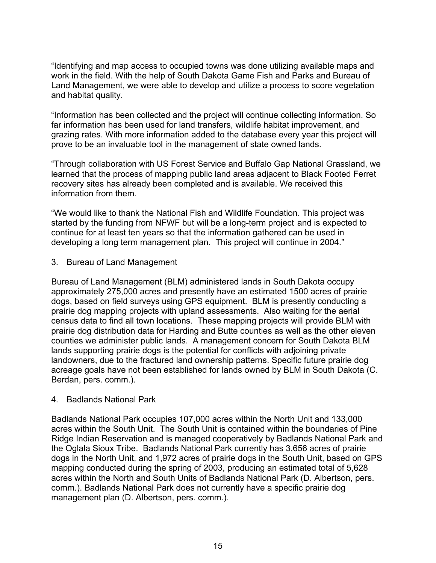"Identifying and map access to occupied towns was done utilizing available maps and work in the field. With the help of South Dakota Game Fish and Parks and Bureau of Land Management, we were able to develop and utilize a process to score vegetation and habitat quality.

"Information has been collected and the project will continue collecting information. So far information has been used for land transfers, wildlife habitat improvement, and grazing rates. With more information added to the database every year this project will prove to be an invaluable tool in the management of state owned lands.

"Through collaboration with US Forest Service and Buffalo Gap National Grassland, we learned that the process of mapping public land areas adjacent to Black Footed Ferret recovery sites has already been completed and is available. We received this information from them.

"We would like to thank the National Fish and Wildlife Foundation. This project was started by the funding from NFWF but will be a long-term project and is expected to continue for at least ten years so that the information gathered can be used in developing a long term management plan. This project will continue in 2004."

3. Bureau of Land Management

Bureau of Land Management (BLM) administered lands in South Dakota occupy approximately 275,000 acres and presently have an estimated 1500 acres of prairie dogs, based on field surveys using GPS equipment. BLM is presently conducting a prairie dog mapping projects with upland assessments. Also waiting for the aerial census data to find all town locations. These mapping projects will provide BLM with prairie dog distribution data for Harding and Butte counties as well as the other eleven counties we administer public lands. A management concern for South Dakota BLM lands supporting prairie dogs is the potential for conflicts with adjoining private landowners, due to the fractured land ownership patterns. Specific future prairie dog acreage goals have not been established for lands owned by BLM in South Dakota (C. Berdan, pers. comm.).

## 4. Badlands National Park

Badlands National Park occupies 107,000 acres within the North Unit and 133,000 acres within the South Unit. The South Unit is contained within the boundaries of Pine Ridge Indian Reservation and is managed cooperatively by Badlands National Park and the Oglala Sioux Tribe. Badlands National Park currently has 3,656 acres of prairie dogs in the North Unit, and 1,972 acres of prairie dogs in the South Unit, based on GPS mapping conducted during the spring of 2003, producing an estimated total of 5,628 acres within the North and South Units of Badlands National Park (D. Albertson, pers. comm.). Badlands National Park does not currently have a specific prairie dog management plan (D. Albertson, pers. comm.).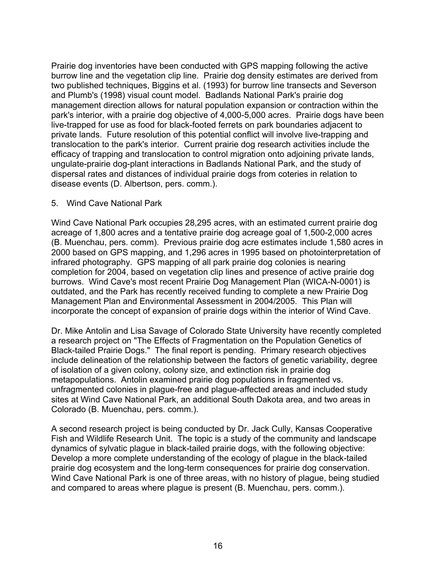Prairie dog inventories have been conducted with GPS mapping following the active burrow line and the vegetation clip line. Prairie dog density estimates are derived from two published techniques, Biggins et al. (1993) for burrow line transects and Severson and Plumb's (1998) visual count model. Badlands National Park's prairie dog management direction allows for natural population expansion or contraction within the park's interior, with a prairie dog objective of 4,000-5,000 acres. Prairie dogs have been live-trapped for use as food for black-footed ferrets on park boundaries adjacent to private lands. Future resolution of this potential conflict will involve live-trapping and translocation to the park's interior. Current prairie dog research activities include the efficacy of trapping and translocation to control migration onto adjoining private lands, ungulate-prairie dog-plant interactions in Badlands National Park, and the study of dispersal rates and distances of individual prairie dogs from coteries in relation to disease events (D. Albertson, pers. comm.).

## 5. Wind Cave National Park

Wind Cave National Park occupies 28,295 acres, with an estimated current prairie dog acreage of 1,800 acres and a tentative prairie dog acreage goal of 1,500-2,000 acres (B. Muenchau, pers. comm). Previous prairie dog acre estimates include 1,580 acres in 2000 based on GPS mapping, and 1,296 acres in 1995 based on photointerpretation of infrared photography. GPS mapping of all park prairie dog colonies is nearing completion for 2004, based on vegetation clip lines and presence of active prairie dog burrows. Wind Cave's most recent Prairie Dog Management Plan (WICA-N-0001) is outdated, and the Park has recently received funding to complete a new Prairie Dog Management Plan and Environmental Assessment in 2004/2005. This Plan will incorporate the concept of expansion of prairie dogs within the interior of Wind Cave.

Dr. Mike Antolin and Lisa Savage of Colorado State University have recently completed a research project on "The Effects of Fragmentation on the Population Genetics of Black-tailed Prairie Dogs." The final report is pending. Primary research objectives include delineation of the relationship between the factors of genetic variability, degree of isolation of a given colony, colony size, and extinction risk in prairie dog metapopulations. Antolin examined prairie dog populations in fragmented vs. unfragmented colonies in plague-free and plague-affected areas and included study sites at Wind Cave National Park, an additional South Dakota area, and two areas in Colorado (B. Muenchau, pers. comm.).

A second research project is being conducted by Dr. Jack Cully, Kansas Cooperative Fish and Wildlife Research Unit. The topic is a study of the community and landscape dynamics of sylvatic plague in black-tailed prairie dogs, with the following objective: Develop a more complete understanding of the ecology of plague in the black-tailed prairie dog ecosystem and the long-term consequences for prairie dog conservation. Wind Cave National Park is one of three areas, with no history of plague, being studied and compared to areas where plague is present (B. Muenchau, pers. comm.).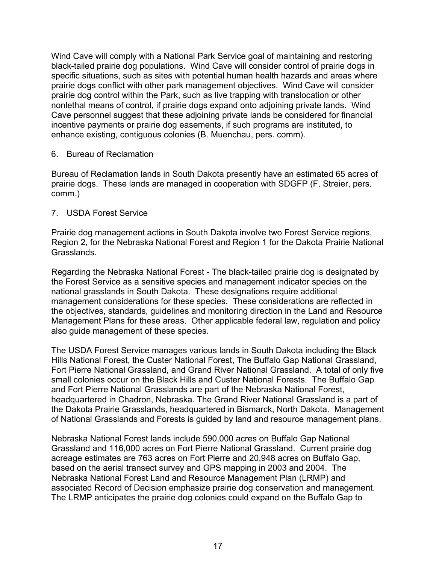Wind Cave will comply with a National Park Service goal of maintaining and restoring black-tailed prairie dog populations. Wind Cave will consider control of prairie dogs in specific situations, such as sites with potential human health hazards and areas where prairie dogs conflict with other park management objectives. Wind Cave will consider prairie dog control within the Park, such as live trapping with translocation or other nonlethal means of control, if prairie dogs expand onto adjoining private lands. Wind Cave personnel suggest that these adjoining private lands be considered for financial incentive payments or prairie dog easements, if such programs are instituted, to enhance existing, contiguous colonies (B. Muenchau, pers. comm).

#### 6. Bureau of Reclamation

Bureau of Reclamation lands in South Dakota presently have an estimated 65 acres of prairie dogs. These lands are managed in cooperation with SDGFP (F. Streier, pers. comm.)

#### 7. USDA Forest Service

Prairie dog management actions in South Dakota involve two Forest Service regions, Region 2, for the Nebraska National Forest and Region 1 for the Dakota Prairie National Grasslands.

Regarding the Nebraska National Forest - The black-tailed prairie dog is designated by the Forest Service as a sensitive species and management indicator species on the national grasslands in South Dakota. These designations require additional management considerations for these species. These considerations are reflected in the objectives, standards, guidelines and monitoring direction in the Land and Resource Management Plans for these areas. Other applicable federal law, regulation and policy also guide management of these species.

The USDA Forest Service manages various lands in South Dakota including the Black Hills National Forest, the Custer National Forest, The Buffalo Gap National Grassland, Fort Pierre National Grassland, and Grand River National Grassland. A total of only five small colonies occur on the Black Hills and Custer National Forests. The Buffalo Gap and Fort Pierre National Grasslands are part of the Nebraska National Forest, headquartered in Chadron, Nebraska. The Grand River National Grassland is a part of the Dakota Prairie Grasslands, headquartered in Bismarck, North Dakota. Management of National Grasslands and Forests is guided by land and resource management plans.

Nebraska National Forest lands include 590,000 acres on Buffalo Gap National Grassland and 116,000 acres on Fort Pierre National Grassland. Current prairie dog acreage estimates are 763 acres on Fort Pierre and 20,948 acres on Buffalo Gap, based on the aerial transect survey and GPS mapping in 2003 and 2004. The Nebraska National Forest Land and Resource Management Plan (LRMP) and associated Record of Decision emphasize prairie dog conservation and management. The LRMP anticipates the prairie dog colonies could expand on the Buffalo Gap to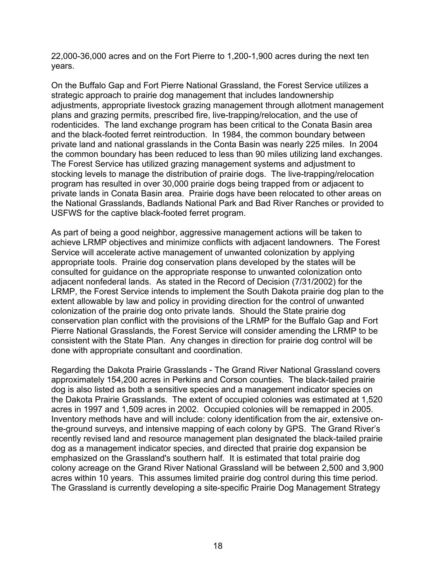22,000-36,000 acres and on the Fort Pierre to 1,200-1,900 acres during the next ten years.

On the Buffalo Gap and Fort Pierre National Grassland, the Forest Service utilizes a strategic approach to prairie dog management that includes landownership adjustments, appropriate livestock grazing management through allotment management plans and grazing permits, prescribed fire, live-trapping/relocation, and the use of rodenticides. The land exchange program has been critical to the Conata Basin area and the black-footed ferret reintroduction. In 1984, the common boundary between private land and national grasslands in the Conta Basin was nearly 225 miles. In 2004 the common boundary has been reduced to less than 90 miles utilizing land exchanges. The Forest Service has utilized grazing management systems and adjustment to stocking levels to manage the distribution of prairie dogs. The live-trapping/relocation program has resulted in over 30,000 prairie dogs being trapped from or adjacent to private lands in Conata Basin area. Prairie dogs have been relocated to other areas on the National Grasslands, Badlands National Park and Bad River Ranches or provided to USFWS for the captive black-footed ferret program.

As part of being a good neighbor, aggressive management actions will be taken to achieve LRMP objectives and minimize conflicts with adjacent landowners. The Forest Service will accelerate active management of unwanted colonization by applying appropriate tools. Prairie dog conservation plans developed by the states will be consulted for guidance on the appropriate response to unwanted colonization onto adjacent nonfederal lands. As stated in the Record of Decision (7/31/2002) for the LRMP, the Forest Service intends to implement the South Dakota prairie dog plan to the extent allowable by law and policy in providing direction for the control of unwanted colonization of the prairie dog onto private lands. Should the State prairie dog conservation plan conflict with the provisions of the LRMP for the Buffalo Gap and Fort Pierre National Grasslands, the Forest Service will consider amending the LRMP to be consistent with the State Plan. Any changes in direction for prairie dog control will be done with appropriate consultant and coordination.

Regarding the Dakota Prairie Grasslands - The Grand River National Grassland covers approximately 154,200 acres in Perkins and Corson counties. The black-tailed prairie dog is also listed as both a sensitive species and a management indicator species on the Dakota Prairie Grasslands. The extent of occupied colonies was estimated at 1,520 acres in 1997 and 1,509 acres in 2002. Occupied colonies will be remapped in 2005. Inventory methods have and will include: colony identification from the air, extensive onthe-ground surveys, and intensive mapping of each colony by GPS. The Grand River's recently revised land and resource management plan designated the black-tailed prairie dog as a management indicator species, and directed that prairie dog expansion be emphasized on the Grassland's southern half. It is estimated that total prairie dog colony acreage on the Grand River National Grassland will be between 2,500 and 3,900 acres within 10 years. This assumes limited prairie dog control during this time period. The Grassland is currently developing a site-specific Prairie Dog Management Strategy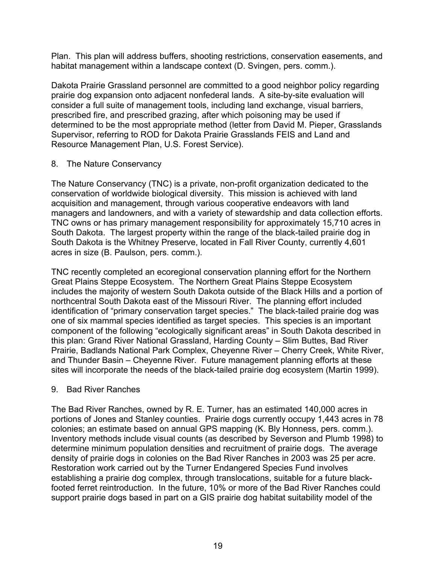Plan. This plan will address buffers, shooting restrictions, conservation easements, and habitat management within a landscape context (D. Svingen, pers. comm.).

Dakota Prairie Grassland personnel are committed to a good neighbor policy regarding prairie dog expansion onto adjacent nonfederal lands. A site-by-site evaluation will consider a full suite of management tools, including land exchange, visual barriers, prescribed fire, and prescribed grazing, after which poisoning may be used if determined to be the most appropriate method (letter from David M. Pieper, Grasslands Supervisor, referring to ROD for Dakota Prairie Grasslands FEIS and Land and Resource Management Plan, U.S. Forest Service).

## 8. The Nature Conservancy

The Nature Conservancy (TNC) is a private, non-profit organization dedicated to the conservation of worldwide biological diversity. This mission is achieved with land acquisition and management, through various cooperative endeavors with land managers and landowners, and with a variety of stewardship and data collection efforts. TNC owns or has primary management responsibility for approximately 15,710 acres in South Dakota. The largest property within the range of the black-tailed prairie dog in South Dakota is the Whitney Preserve, located in Fall River County, currently 4,601 acres in size (B. Paulson, pers. comm.).

TNC recently completed an ecoregional conservation planning effort for the Northern Great Plains Steppe Ecosystem. The Northern Great Plains Steppe Ecosystem includes the majority of western South Dakota outside of the Black Hills and a portion of northcentral South Dakota east of the Missouri River. The planning effort included identification of "primary conservation target species." The black-tailed prairie dog was one of six mammal species identified as target species. This species is an important component of the following "ecologically significant areas" in South Dakota described in this plan: Grand River National Grassland, Harding County – Slim Buttes, Bad River Prairie, Badlands National Park Complex, Cheyenne River – Cherry Creek, White River, and Thunder Basin – Cheyenne River. Future management planning efforts at these sites will incorporate the needs of the black-tailed prairie dog ecosystem (Martin 1999).

## 9. Bad River Ranches

The Bad River Ranches, owned by R. E. Turner, has an estimated 140,000 acres in portions of Jones and Stanley counties. Prairie dogs currently occupy 1,443 acres in 78 colonies; an estimate based on annual GPS mapping (K. Bly Honness, pers. comm.). Inventory methods include visual counts (as described by Severson and Plumb 1998) to determine minimum population densities and recruitment of prairie dogs. The average density of prairie dogs in colonies on the Bad River Ranches in 2003 was 25 per acre. Restoration work carried out by the Turner Endangered Species Fund involves establishing a prairie dog complex, through translocations, suitable for a future blackfooted ferret reintroduction. In the future, 10% or more of the Bad River Ranches could support prairie dogs based in part on a GIS prairie dog habitat suitability model of the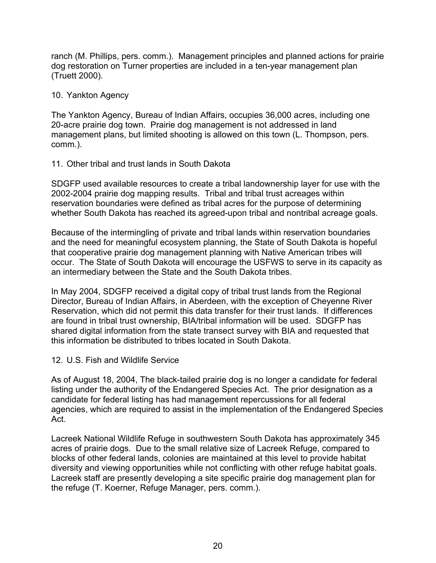ranch (M. Phillips, pers. comm.). Management principles and planned actions for prairie dog restoration on Turner properties are included in a ten-year management plan (Truett 2000).

## 10. Yankton Agency

The Yankton Agency, Bureau of Indian Affairs, occupies 36,000 acres, including one 20-acre prairie dog town. Prairie dog management is not addressed in land management plans, but limited shooting is allowed on this town (L. Thompson, pers. comm.).

## 11. Other tribal and trust lands in South Dakota

SDGFP used available resources to create a tribal landownership layer for use with the 2002-2004 prairie dog mapping results. Tribal and tribal trust acreages within reservation boundaries were defined as tribal acres for the purpose of determining whether South Dakota has reached its agreed-upon tribal and nontribal acreage goals.

Because of the intermingling of private and tribal lands within reservation boundaries and the need for meaningful ecosystem planning, the State of South Dakota is hopeful that cooperative prairie dog management planning with Native American tribes will occur. The State of South Dakota will encourage the USFWS to serve in its capacity as an intermediary between the State and the South Dakota tribes.

In May 2004, SDGFP received a digital copy of tribal trust lands from the Regional Director, Bureau of Indian Affairs, in Aberdeen, with the exception of Cheyenne River Reservation, which did not permit this data transfer for their trust lands. If differences are found in tribal trust ownership, BIA/tribal information will be used. SDGFP has shared digital information from the state transect survey with BIA and requested that this information be distributed to tribes located in South Dakota.

## 12. U.S. Fish and Wildlife Service

As of August 18, 2004, The black-tailed prairie dog is no longer a candidate for federal listing under the authority of the Endangered Species Act. The prior designation as a candidate for federal listing has had management repercussions for all federal agencies, which are required to assist in the implementation of the Endangered Species Act.

Lacreek National Wildlife Refuge in southwestern South Dakota has approximately 345 acres of prairie dogs. Due to the small relative size of Lacreek Refuge, compared to blocks of other federal lands, colonies are maintained at this level to provide habitat diversity and viewing opportunities while not conflicting with other refuge habitat goals. Lacreek staff are presently developing a site specific prairie dog management plan for the refuge (T. Koerner, Refuge Manager, pers. comm.).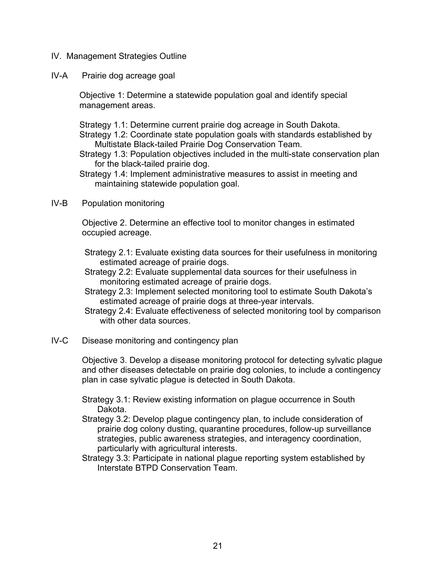- IV. Management Strategies Outline
- IV-A Prairie dog acreage goal

Objective 1: Determine a statewide population goal and identify special management areas.

Strategy 1.1: Determine current prairie dog acreage in South Dakota.

Strategy 1.2: Coordinate state population goals with standards established by Multistate Black-tailed Prairie Dog Conservation Team.

- Strategy 1.3: Population objectives included in the multi-state conservation plan for the black-tailed prairie dog.
- Strategy 1.4: Implement administrative measures to assist in meeting and maintaining statewide population goal.
- IV-B Population monitoring

Objective 2. Determine an effective tool to monitor changes in estimated occupied acreage.

Strategy 2.1: Evaluate existing data sources for their usefulness in monitoring estimated acreage of prairie dogs.

- Strategy 2.2: Evaluate supplemental data sources for their usefulness in monitoring estimated acreage of prairie dogs.
- Strategy 2.3: Implement selected monitoring tool to estimate South Dakota's estimated acreage of prairie dogs at three-year intervals.
- Strategy 2.4: Evaluate effectiveness of selected monitoring tool by comparison with other data sources.
- IV-C Disease monitoring and contingency plan

Objective 3. Develop a disease monitoring protocol for detecting sylvatic plague and other diseases detectable on prairie dog colonies, to include a contingency plan in case sylvatic plague is detected in South Dakota.

- Strategy 3.1: Review existing information on plague occurrence in South Dakota.
- Strategy 3.2: Develop plague contingency plan, to include consideration of prairie dog colony dusting, quarantine procedures, follow-up surveillance strategies, public awareness strategies, and interagency coordination, particularly with agricultural interests.
- Strategy 3.3: Participate in national plague reporting system established by Interstate BTPD Conservation Team.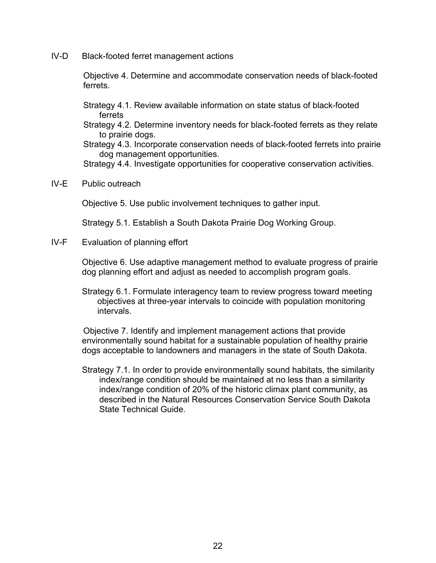IV-D Black-footed ferret management actions

Objective 4. Determine and accommodate conservation needs of black-footed ferrets.

Strategy 4.1. Review available information on state status of black-footed ferrets

Strategy 4.2. Determine inventory needs for black-footed ferrets as they relate to prairie dogs.

Strategy 4.3. Incorporate conservation needs of black-footed ferrets into prairie dog management opportunities.

Strategy 4.4. Investigate opportunities for cooperative conservation activities.

IV-E Public outreach

Objective 5. Use public involvement techniques to gather input.

Strategy 5.1. Establish a South Dakota Prairie Dog Working Group.

IV-F Evaluation of planning effort

Objective 6. Use adaptive management method to evaluate progress of prairie dog planning effort and adjust as needed to accomplish program goals.

Strategy 6.1. Formulate interagency team to review progress toward meeting objectives at three-year intervals to coincide with population monitoring intervals.

Objective 7. Identify and implement management actions that provide environmentally sound habitat for a sustainable population of healthy prairie dogs acceptable to landowners and managers in the state of South Dakota.

Strategy 7.1. In order to provide environmentally sound habitats, the similarity index/range condition should be maintained at no less than a similarity index/range condition of 20% of the historic climax plant community, as described in the Natural Resources Conservation Service South Dakota State Technical Guide.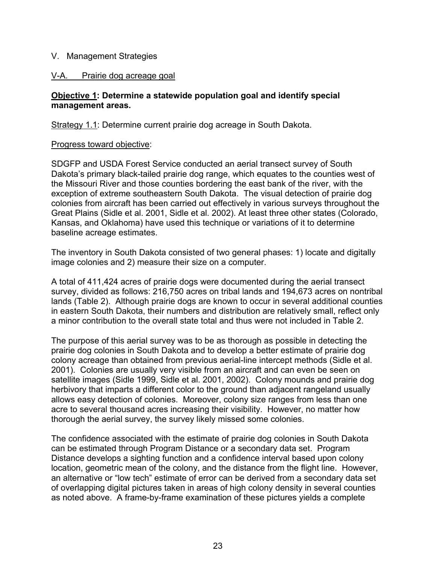## V. Management Strategies

## V-A. Prairie dog acreage goal

## **Objective 1: Determine a statewide population goal and identify special management areas.**

Strategy 1.1: Determine current prairie dog acreage in South Dakota.

## Progress toward objective:

SDGFP and USDA Forest Service conducted an aerial transect survey of South Dakota's primary black-tailed prairie dog range, which equates to the counties west of the Missouri River and those counties bordering the east bank of the river, with the exception of extreme southeastern South Dakota. The visual detection of prairie dog colonies from aircraft has been carried out effectively in various surveys throughout the Great Plains (Sidle et al. 2001, Sidle et al. 2002). At least three other states (Colorado, Kansas, and Oklahoma) have used this technique or variations of it to determine baseline acreage estimates.

The inventory in South Dakota consisted of two general phases: 1) locate and digitally image colonies and 2) measure their size on a computer.

A total of 411,424 acres of prairie dogs were documented during the aerial transect survey, divided as follows: 216,750 acres on tribal lands and 194,673 acres on nontribal lands (Table 2). Although prairie dogs are known to occur in several additional counties in eastern South Dakota, their numbers and distribution are relatively small, reflect only a minor contribution to the overall state total and thus were not included in Table 2.

The purpose of this aerial survey was to be as thorough as possible in detecting the prairie dog colonies in South Dakota and to develop a better estimate of prairie dog colony acreage than obtained from previous aerial-line intercept methods (Sidle et al. 2001). Colonies are usually very visible from an aircraft and can even be seen on satellite images (Sidle 1999, Sidle et al. 2001, 2002). Colony mounds and prairie dog herbivory that imparts a different color to the ground than adjacent rangeland usually allows easy detection of colonies. Moreover, colony size ranges from less than one acre to several thousand acres increasing their visibility. However, no matter how thorough the aerial survey, the survey likely missed some colonies.

The confidence associated with the estimate of prairie dog colonies in South Dakota can be estimated through Program Distance or a secondary data set. Program Distance develops a sighting function and a confidence interval based upon colony location, geometric mean of the colony, and the distance from the flight line. However, an alternative or "low tech" estimate of error can be derived from a secondary data set of overlapping digital pictures taken in areas of high colony density in several counties as noted above. A frame-by-frame examination of these pictures yields a complete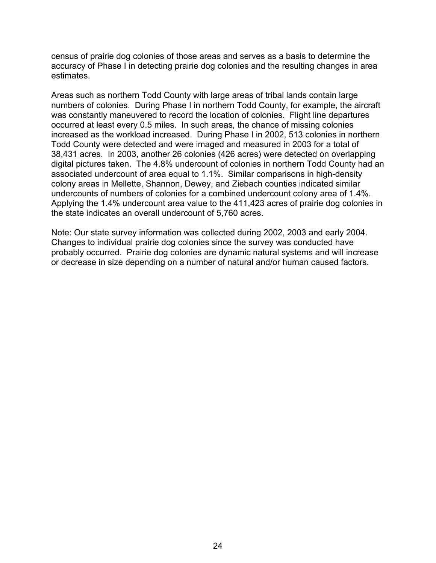census of prairie dog colonies of those areas and serves as a basis to determine the accuracy of Phase I in detecting prairie dog colonies and the resulting changes in area estimates.

Areas such as northern Todd County with large areas of tribal lands contain large numbers of colonies. During Phase I in northern Todd County, for example, the aircraft was constantly maneuvered to record the location of colonies. Flight line departures occurred at least every 0.5 miles. In such areas, the chance of missing colonies increased as the workload increased. During Phase I in 2002, 513 colonies in northern Todd County were detected and were imaged and measured in 2003 for a total of 38,431 acres. In 2003, another 26 colonies (426 acres) were detected on overlapping digital pictures taken. The 4.8% undercount of colonies in northern Todd County had an associated undercount of area equal to 1.1%. Similar comparisons in high-density colony areas in Mellette, Shannon, Dewey, and Ziebach counties indicated similar undercounts of numbers of colonies for a combined undercount colony area of 1.4%. Applying the 1.4% undercount area value to the 411,423 acres of prairie dog colonies in the state indicates an overall undercount of 5,760 acres.

Note: Our state survey information was collected during 2002, 2003 and early 2004. Changes to individual prairie dog colonies since the survey was conducted have probably occurred. Prairie dog colonies are dynamic natural systems and will increase or decrease in size depending on a number of natural and/or human caused factors.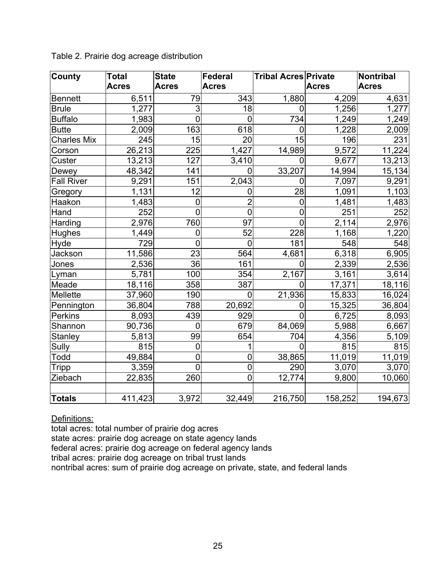| County             | Total        | <b>State</b>    | Federal         | <b>Tribal Acres Private</b> |              | Nontribal    |
|--------------------|--------------|-----------------|-----------------|-----------------------------|--------------|--------------|
|                    | <b>Acres</b> | <b>Acres</b>    | <b>Acres</b>    |                             | <b>Acres</b> | <b>Acres</b> |
| <b>Bennett</b>     | 6,511        | 79              | 343             | 1,880                       | 4,209        | 4,631        |
| <b>Brule</b>       | 1,277        | 3               | 18              | $\overline{0}$              | 1,256        | 1,277        |
| <b>Buffalo</b>     | 1,983        | $\mathbf 0$     | $\overline{0}$  | 734                         | 1,249        | 1,249        |
| <b>Butte</b>       | 2,009        | 163             | 618             | $\overline{0}$              | 1,228        | 2,009        |
| <b>Charles Mix</b> | 245          | 15              | 20              | 15                          | 196          | 231          |
| Corson             | 26,213       | 225             | 1,427           | 14,989                      | 9,572        | 11,224       |
| Custer             | 13,213       | 127             | 3,410           | 0                           | 9,677        | 13,213       |
| Dewey              | 48,342       | 141             | $\overline{0}$  | 33,207                      | 14,994       | 15,134       |
| <b>Fall River</b>  | 9,291        | 151             | 2,043           | $\overline{0}$              | 7,097        | 9,291        |
| Gregory            | 1,131        | 12              | $\mathbf 0$     | $\overline{28}$             | 1,091        | 1,103        |
| Haakon             | 1,483        | $\mathbf 0$     | $\overline{2}$  | $\mathbf 0$                 | 1,481        | 1,483        |
| Hand               | 252          | $\overline{0}$  | $\overline{0}$  | $\overline{0}$              | 251          | 252          |
| Harding            | 2,976        | 760             | $\overline{97}$ | $\overline{0}$              | 2,114        | 2,976        |
| <b>Hughes</b>      | 1,449        | $\mathbf 0$     | 52              | 228                         | 1,168        | 1,220        |
| Hyde               | 729          | $\overline{0}$  | $\overline{0}$  | 181                         | 548          | 548          |
| Jackson            | 11,586       | 23              | 564             | 4,681                       | 6,318        | 6,905        |
| Jones              | 2,536        | $\overline{36}$ | 161             | $\overline{0}$              | 2,339        | 2,536        |
| Lyman              | 5,781        | 100             | 354             | 2,167                       | 3,161        | 3,614        |
| Meade              | 18,116       | 358             | 387             | $\overline{0}$              | 17,371       | 18,116       |
| Mellette           | 37,960       | 190             | $\overline{0}$  | 21,936                      | 15,833       | 16,024       |
| Pennington         | 36,804       | 788             | 20,692          | 0                           | 15,325       | 36,804       |
| Perkins            | 8,093        | 439             | 929             | $\Omega$                    | 6,725        | 8,093        |
| Shannon            | 90,736       | $\overline{0}$  | 679             | 84,069                      | 5,988        | 6,667        |
| <b>Stanley</b>     | 5,813        | 99              | 654             | 704                         | 4,356        | 5,109        |
| Sully              | 815          | $\mathbf 0$     | 1               | $\Omega$                    | 815          | 815          |
| Todd               | 49,884       | $\mathbf 0$     | $\mathbf 0$     | 38,865                      | 11,019       | 11,019       |
| Tripp              | 3,359        | $\overline{0}$  | $\mathbf 0$     | 290                         | 3,070        | 3,070        |
| Ziebach            | 22,835       | 260             | $\overline{0}$  | 12,774                      | 9,800        | 10,060       |
|                    |              |                 |                 |                             |              |              |
| <b>Totals</b>      | 411,423      | 3,972           | 32,449          | 216,750                     | 158,252      | 194,673      |

Table 2. Prairie dog acreage distribution

Definitions:

total acres: total number of prairie dog acres

state acres: prairie dog acreage on state agency lands

federal acres: prairie dog acreage on federal agency lands

tribal acres: prairie dog acreage on tribal trust lands

nontribal acres: sum of prairie dog acreage on private, state, and federal lands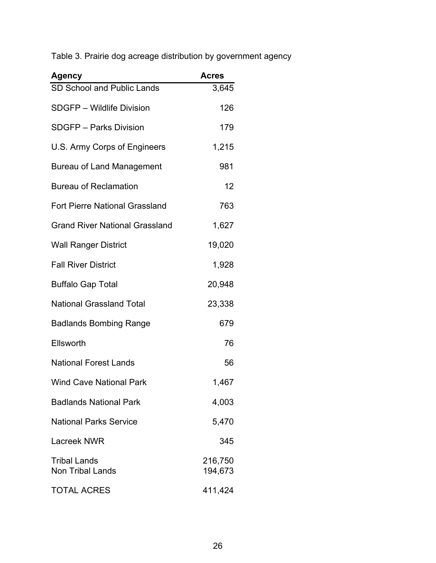Table 3. Prairie dog acreage distribution by government agency

| <b>Agency</b>                                  | <b>Acres</b>       |
|------------------------------------------------|--------------------|
| SD School and Public Lands                     | 3,645              |
| SDGFP - Wildlife Division                      | 126                |
| <b>SDGFP - Parks Division</b>                  | 179                |
| U.S. Army Corps of Engineers                   | 1,215              |
| Bureau of Land Management                      | 981                |
| <b>Bureau of Reclamation</b>                   | 12                 |
| <b>Fort Pierre National Grassland</b>          | 763                |
| <b>Grand River National Grassland</b>          | 1,627              |
| <b>Wall Ranger District</b>                    | 19,020             |
| <b>Fall River District</b>                     | 1,928              |
| <b>Buffalo Gap Total</b>                       | 20,948             |
| <b>National Grassland Total</b>                | 23,338             |
| <b>Badlands Bombing Range</b>                  | 679                |
| Ellsworth                                      | 76                 |
| <b>National Forest Lands</b>                   | 56                 |
| <b>Wind Cave National Park</b>                 | 1,467              |
| <b>Badlands National Park</b>                  | 4,003              |
| <b>National Parks Service</b>                  | 5,470              |
| Lacreek NWR                                    | 345                |
| <b>Tribal Lands</b><br><b>Non Tribal Lands</b> | 216,750<br>194,673 |
| <b>TOTAL ACRES</b>                             | 411,424            |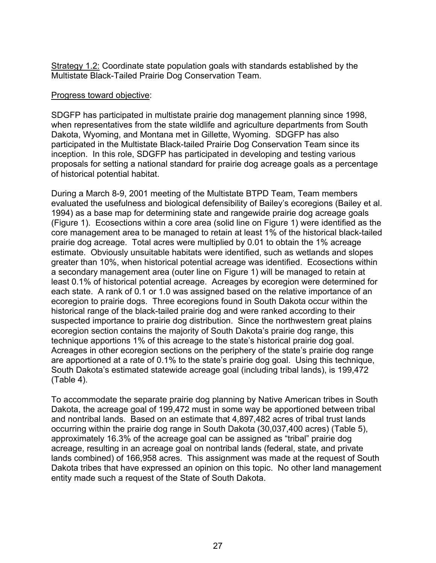Strategy 1.2: Coordinate state population goals with standards established by the Multistate Black-Tailed Prairie Dog Conservation Team.

#### Progress toward objective:

SDGFP has participated in multistate prairie dog management planning since 1998, when representatives from the state wildlife and agriculture departments from South Dakota, Wyoming, and Montana met in Gillette, Wyoming. SDGFP has also participated in the Multistate Black-tailed Prairie Dog Conservation Team since its inception. In this role, SDGFP has participated in developing and testing various proposals for setting a national standard for prairie dog acreage goals as a percentage of historical potential habitat.

During a March 8-9, 2001 meeting of the Multistate BTPD Team, Team members evaluated the usefulness and biological defensibility of Bailey's ecoregions (Bailey et al. 1994) as a base map for determining state and rangewide prairie dog acreage goals (Figure 1). Ecosections within a core area (solid line on Figure 1) were identified as the core management area to be managed to retain at least 1% of the historical black-tailed prairie dog acreage. Total acres were multiplied by 0.01 to obtain the 1% acreage estimate. Obviously unsuitable habitats were identified, such as wetlands and slopes greater than 10%, when historical potential acreage was identified. Ecosections within a secondary management area (outer line on Figure 1) will be managed to retain at least 0.1% of historical potential acreage. Acreages by ecoregion were determined for each state. A rank of 0.1 or 1.0 was assigned based on the relative importance of an ecoregion to prairie dogs. Three ecoregions found in South Dakota occur within the historical range of the black-tailed prairie dog and were ranked according to their suspected importance to prairie dog distribution. Since the northwestern great plains ecoregion section contains the majority of South Dakota's prairie dog range, this technique apportions 1% of this acreage to the state's historical prairie dog goal. Acreages in other ecoregion sections on the periphery of the state's prairie dog range are apportioned at a rate of 0.1% to the state's prairie dog goal. Using this technique, South Dakota's estimated statewide acreage goal (including tribal lands), is 199,472 (Table 4).

To accommodate the separate prairie dog planning by Native American tribes in South Dakota, the acreage goal of 199,472 must in some way be apportioned between tribal and nontribal lands. Based on an estimate that 4,897,482 acres of tribal trust lands occurring within the prairie dog range in South Dakota (30,037,400 acres) (Table 5), approximately 16.3% of the acreage goal can be assigned as "tribal" prairie dog acreage, resulting in an acreage goal on nontribal lands (federal, state, and private lands combined) of 166,958 acres. This assignment was made at the request of South Dakota tribes that have expressed an opinion on this topic. No other land management entity made such a request of the State of South Dakota.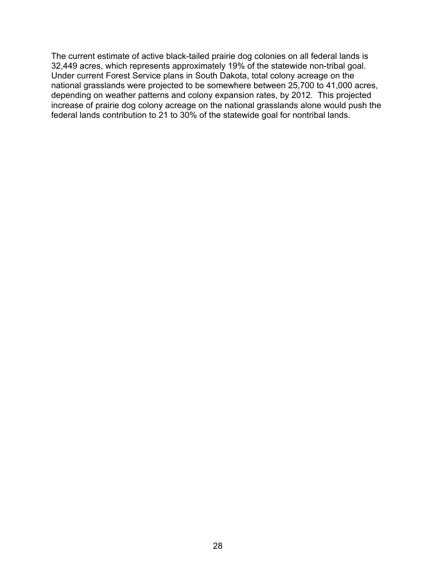The current estimate of active black-tailed prairie dog colonies on all federal lands is 32,449 acres, which represents approximately 19% of the statewide non-tribal goal. Under current Forest Service plans in South Dakota, total colony acreage on the national grasslands were projected to be somewhere between 25,700 to 41,000 acres, depending on weather patterns and colony expansion rates, by 2012. This projected increase of prairie dog colony acreage on the national grasslands alone would push the federal lands contribution to 21 to 30% of the statewide goal for nontribal lands.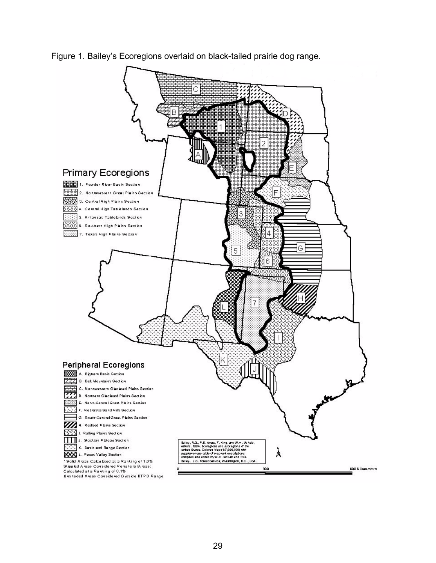

Figure 1. Bailey's Ecoregions overlaid on black-tailed prairie dog range.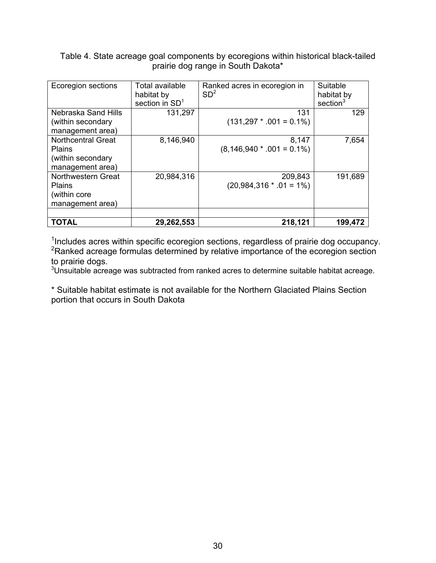Table 4. State acreage goal components by ecoregions within historical black-tailed prairie dog range in South Dakota\*

| Ecoregion sections                                                           | Total available<br>habitat by<br>section in $SD1$ | Ranked acres in ecoregion in<br>SD <sup>2</sup> | Suitable<br>habitat by<br>section <sup>3</sup> |
|------------------------------------------------------------------------------|---------------------------------------------------|-------------------------------------------------|------------------------------------------------|
| Nebraska Sand Hills<br>(within secondary<br>management area)                 | 131,297                                           | 131<br>$(131,297 * .001 = 0.1\%)$               | 129                                            |
| <b>Northcentral Great</b><br>Plains<br>(within secondary<br>management area) | 8,146,940                                         | 8,147<br>$(8,146,940 * .001 = 0.1\%)$           | 7,654                                          |
| Northwestern Great<br>Plains<br>(within core<br>management area)             | 20,984,316                                        | 209,843<br>$(20,984,316 * .01 = 1\%)$           | 191,689                                        |
| <b>TOTAL</b>                                                                 | 29,262,553                                        | 218,121                                         | 199,472                                        |

<sup>1</sup>Includes acres within specific ecoregion sections, regardless of prairie dog occupancy. <sup>2</sup> Ranked acreage formulas determined by relative importance of the ecoregion section to prairie dogs.

 $3$ Unsuitable acreage was subtracted from ranked acres to determine suitable habitat acreage.

\* Suitable habitat estimate is not available for the Northern Glaciated Plains Section portion that occurs in South Dakota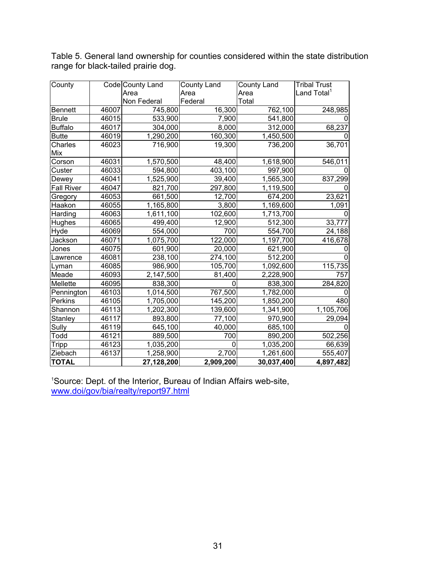| County            |       | Code County Land | County Land | County Land | <b>Tribal Trust</b>     |
|-------------------|-------|------------------|-------------|-------------|-------------------------|
|                   |       | Area             | Area        | Area        | Land Total <sup>1</sup> |
|                   |       | Non Federal      | Federal     | Total       |                         |
| <b>Bennett</b>    | 46007 | 745,800          | 16,300      | 762,100     | 248,985                 |
| <b>Brule</b>      | 46015 | 533,900          | 7,900       | 541,800     |                         |
| <b>Buffalo</b>    | 46017 | 304,000          | 8,000       | 312,000     | 68,237                  |
| <b>Butte</b>      | 46019 | 1,290,200        | 160,300     | 1,450,500   |                         |
| Charles           | 46023 | 716,900          | 19,300      | 736,200     | 36,701                  |
| Mix               |       |                  |             |             |                         |
| Corson            | 46031 | 1,570,500        | 48,400      | 1,618,900   | 546,011                 |
| Custer            | 46033 | 594,800          | 403,100     | 997,900     |                         |
| Dewey             | 46041 | 1,525,900        | 39,400      | 1,565,300   | 837,299                 |
| <b>Fall River</b> | 46047 | 821,700          | 297,800     | 1,119,500   |                         |
| Gregory           | 46053 | 661,500          | 12,700      | 674,200     | 23,621                  |
| Haakon            | 46055 | 1,165,800        | 3,800       | 1,169,600   | 1,091                   |
| Harding           | 46063 | 1,611,100        | 102,600     | 1,713,700   |                         |
| Hughes            | 46065 | 499,400          | 12,900      | 512,300     | 33,777                  |
| Hyde              | 46069 | 554,000          | 700         | 554,700     | 24,188                  |
| Jackson           | 46071 | 1,075,700        | 122,000     | 1,197,700   | 416,678                 |
| Jones             | 46075 | 601,900          | 20,000      | 621,900     |                         |
| Lawrence          | 46081 | 238,100          | 274,100     | 512,200     |                         |
| Lyman             | 46085 | 986,900          | 105,700     | 1,092,600   | 115,735                 |
| Meade             | 46093 | 2,147,500        | 81,400      | 2,228,900   | 757                     |
| Mellette          | 46095 | 838,300          | 0           | 838,300     | 284,820                 |
| Pennington        | 46103 | 1,014,500        | 767,500     | 1,782,000   |                         |
| Perkins           | 46105 | 1,705,000        | 145,200     | 1,850,200   | 480                     |
| Shannon           | 46113 | 1,202,300        | 139,600     | 1,341,900   | 1,105,706               |
| Stanley           | 46117 | 893,800          | 77,100      | 970,900     | 29,094                  |
| Sully             | 46119 | 645,100          | 40,000      | 685,100     |                         |
| Todd              | 46121 | 889,500          | 700         | 890,200     | 502,256                 |
| <b>Tripp</b>      | 46123 | 1,035,200        | 0           | 1,035,200   | 66,639                  |
| Ziebach           | 46137 | 1,258,900        | 2,700       | 1,261,600   | 555,407                 |
| <b>TOTAL</b>      |       | 27,128,200       | 2,909,200   | 30,037,400  | 4,897,482               |

Table 5. General land ownership for counties considered within the state distribution range for black-tailed prairie dog.

1 Source: Dept. of the Interior, Bureau of Indian Affairs web-site, www.doi/gov/bia/realty/report97.html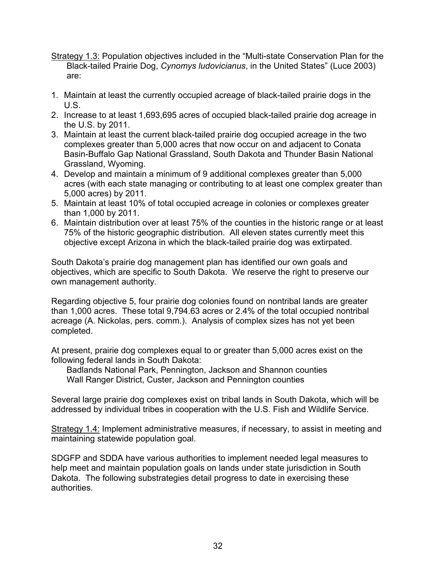- Strategy 1.3: Population objectives included in the "Multi-state Conservation Plan for the Black-tailed Prairie Dog, *Cynomys ludovicianus*, in the United States" (Luce 2003) are:
- 1. Maintain at least the currently occupied acreage of black-tailed prairie dogs in the U.S.
- 2. Increase to at least 1,693,695 acres of occupied black-tailed prairie dog acreage in the U.S. by 2011.
- 3. Maintain at least the current black-tailed prairie dog occupied acreage in the two complexes greater than 5,000 acres that now occur on and adjacent to Conata Basin-Buffalo Gap National Grassland, South Dakota and Thunder Basin National Grassland, Wyoming.
- 4. Develop and maintain a minimum of 9 additional complexes greater than 5,000 acres (with each state managing or contributing to at least one complex greater than 5,000 acres) by 2011.
- 5. Maintain at least 10% of total occupied acreage in colonies or complexes greater than 1,000 by 2011.
- 6. Maintain distribution over at least 75% of the counties in the historic range or at least 75% of the historic geographic distribution. All eleven states currently meet this objective except Arizona in which the black-tailed prairie dog was extirpated.

South Dakota's prairie dog management plan has identified our own goals and objectives, which are specific to South Dakota. We reserve the right to preserve our own management authority.

Regarding objective 5, four prairie dog colonies found on nontribal lands are greater than 1,000 acres. These total 9,794.63 acres or 2.4% of the total occupied nontribal acreage (A. Nickolas, pers. comm.). Analysis of complex sizes has not yet been completed.

At present, prairie dog complexes equal to or greater than 5,000 acres exist on the following federal lands in South Dakota:

Badlands National Park, Pennington, Jackson and Shannon counties Wall Ranger District, Custer, Jackson and Pennington counties

Several large prairie dog complexes exist on tribal lands in South Dakota, which will be addressed by individual tribes in cooperation with the U.S. Fish and Wildlife Service.

Strategy 1.4: Implement administrative measures, if necessary, to assist in meeting and maintaining statewide population goal.

SDGFP and SDDA have various authorities to implement needed legal measures to help meet and maintain population goals on lands under state jurisdiction in South Dakota. The following substrategies detail progress to date in exercising these authorities.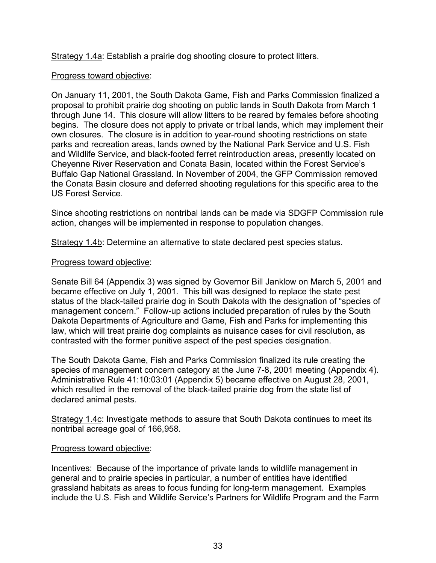Strategy 1.4a: Establish a prairie dog shooting closure to protect litters.

## Progress toward objective:

On January 11, 2001, the South Dakota Game, Fish and Parks Commission finalized a proposal to prohibit prairie dog shooting on public lands in South Dakota from March 1 through June 14. This closure will allow litters to be reared by females before shooting begins. The closure does not apply to private or tribal lands, which may implement their own closures. The closure is in addition to year-round shooting restrictions on state parks and recreation areas, lands owned by the National Park Service and U.S. Fish and Wildlife Service, and black-footed ferret reintroduction areas, presently located on Cheyenne River Reservation and Conata Basin, located within the Forest Service's Buffalo Gap National Grassland. In November of 2004, the GFP Commission removed the Conata Basin closure and deferred shooting regulations for this specific area to the US Forest Service.

Since shooting restrictions on nontribal lands can be made via SDGFP Commission rule action, changes will be implemented in response to population changes.

Strategy 1.4b: Determine an alternative to state declared pest species status.

## Progress toward objective:

Senate Bill 64 (Appendix 3) was signed by Governor Bill Janklow on March 5, 2001 and became effective on July 1, 2001. This bill was designed to replace the state pest status of the black-tailed prairie dog in South Dakota with the designation of "species of management concern." Follow-up actions included preparation of rules by the South Dakota Departments of Agriculture and Game, Fish and Parks for implementing this law, which will treat prairie dog complaints as nuisance cases for civil resolution, as contrasted with the former punitive aspect of the pest species designation.

The South Dakota Game, Fish and Parks Commission finalized its rule creating the species of management concern category at the June 7-8, 2001 meeting (Appendix 4). Administrative Rule 41:10:03:01 (Appendix 5) became effective on August 28, 2001, which resulted in the removal of the black-tailed prairie dog from the state list of declared animal pests.

Strategy 1.4c: Investigate methods to assure that South Dakota continues to meet its nontribal acreage goal of 166,958.

## Progress toward objective:

Incentives: Because of the importance of private lands to wildlife management in general and to prairie species in particular, a number of entities have identified grassland habitats as areas to focus funding for long-term management. Examples include the U.S. Fish and Wildlife Service's Partners for Wildlife Program and the Farm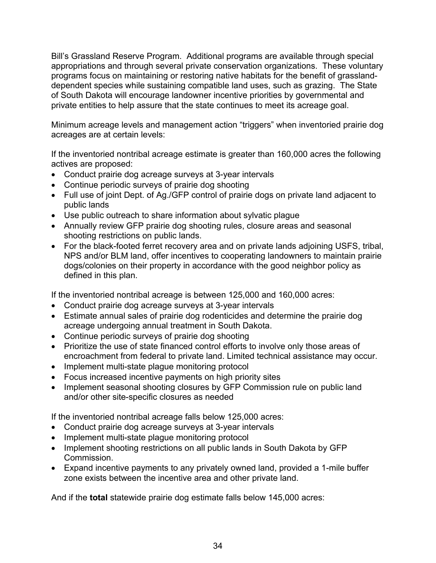Bill's Grassland Reserve Program. Additional programs are available through special appropriations and through several private conservation organizations. These voluntary programs focus on maintaining or restoring native habitats for the benefit of grasslanddependent species while sustaining compatible land uses, such as grazing. The State of South Dakota will encourage landowner incentive priorities by governmental and private entities to help assure that the state continues to meet its acreage goal.

Minimum acreage levels and management action "triggers" when inventoried prairie dog acreages are at certain levels:

If the inventoried nontribal acreage estimate is greater than 160,000 acres the following actives are proposed:

- Conduct prairie dog acreage surveys at 3-year intervals
- Continue periodic surveys of prairie dog shooting
- Full use of joint Dept. of Ag./GFP control of prairie dogs on private land adjacent to public lands
- Use public outreach to share information about sylvatic plague
- Annually review GFP prairie dog shooting rules, closure areas and seasonal shooting restrictions on public lands.
- For the black-footed ferret recovery area and on private lands adjoining USFS, tribal, NPS and/or BLM land, offer incentives to cooperating landowners to maintain prairie dogs/colonies on their property in accordance with the good neighbor policy as defined in this plan.

If the inventoried nontribal acreage is between 125,000 and 160,000 acres:

- Conduct prairie dog acreage surveys at 3-year intervals
- Estimate annual sales of prairie dog rodenticides and determine the prairie dog acreage undergoing annual treatment in South Dakota.
- Continue periodic surveys of prairie dog shooting
- Prioritize the use of state financed control efforts to involve only those areas of encroachment from federal to private land. Limited technical assistance may occur.
- Implement multi-state plague monitoring protocol
- Focus increased incentive payments on high priority sites
- Implement seasonal shooting closures by GFP Commission rule on public land and/or other site-specific closures as needed

If the inventoried nontribal acreage falls below 125,000 acres:

- Conduct prairie dog acreage surveys at 3-year intervals
- Implement multi-state plague monitoring protocol
- Implement shooting restrictions on all public lands in South Dakota by GFP Commission.
- Expand incentive payments to any privately owned land, provided a 1-mile buffer zone exists between the incentive area and other private land.

And if the **total** statewide prairie dog estimate falls below 145,000 acres: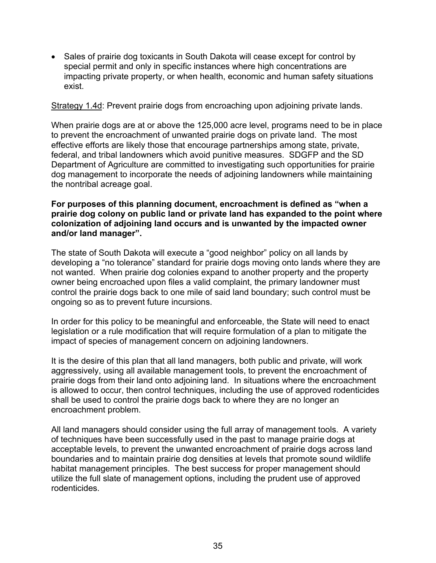• Sales of prairie dog toxicants in South Dakota will cease except for control by special permit and only in specific instances where high concentrations are impacting private property, or when health, economic and human safety situations exist.

Strategy 1.4d: Prevent prairie dogs from encroaching upon adjoining private lands.

When prairie dogs are at or above the 125,000 acre level, programs need to be in place to prevent the encroachment of unwanted prairie dogs on private land. The most effective efforts are likely those that encourage partnerships among state, private, federal, and tribal landowners which avoid punitive measures. SDGFP and the SD Department of Agriculture are committed to investigating such opportunities for prairie dog management to incorporate the needs of adjoining landowners while maintaining the nontribal acreage goal.

## **For purposes of this planning document, encroachment is defined as "when a prairie dog colony on public land or private land has expanded to the point where colonization of adjoining land occurs and is unwanted by the impacted owner and/or land manager".**

The state of South Dakota will execute a "good neighbor" policy on all lands by developing a "no tolerance" standard for prairie dogs moving onto lands where they are not wanted. When prairie dog colonies expand to another property and the property owner being encroached upon files a valid complaint, the primary landowner must control the prairie dogs back to one mile of said land boundary; such control must be ongoing so as to prevent future incursions.

In order for this policy to be meaningful and enforceable, the State will need to enact legislation or a rule modification that will require formulation of a plan to mitigate the impact of species of management concern on adjoining landowners.

It is the desire of this plan that all land managers, both public and private, will work aggressively, using all available management tools, to prevent the encroachment of prairie dogs from their land onto adjoining land. In situations where the encroachment is allowed to occur, then control techniques, including the use of approved rodenticides shall be used to control the prairie dogs back to where they are no longer an encroachment problem.

All land managers should consider using the full array of management tools. A variety of techniques have been successfully used in the past to manage prairie dogs at acceptable levels, to prevent the unwanted encroachment of prairie dogs across land boundaries and to maintain prairie dog densities at levels that promote sound wildlife habitat management principles. The best success for proper management should utilize the full slate of management options, including the prudent use of approved rodenticides.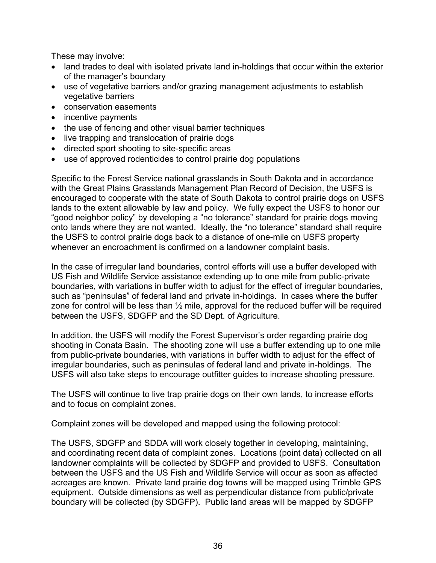These may involve:

- land trades to deal with isolated private land in-holdings that occur within the exterior of the manager's boundary
- use of vegetative barriers and/or grazing management adjustments to establish vegetative barriers
- conservation easements
- incentive payments
- the use of fencing and other visual barrier techniques
- live trapping and translocation of prairie dogs
- directed sport shooting to site-specific areas
- use of approved rodenticides to control prairie dog populations

Specific to the Forest Service national grasslands in South Dakota and in accordance with the Great Plains Grasslands Management Plan Record of Decision, the USFS is encouraged to cooperate with the state of South Dakota to control prairie dogs on USFS lands to the extent allowable by law and policy. We fully expect the USFS to honor our "good neighbor policy" by developing a "no tolerance" standard for prairie dogs moving onto lands where they are not wanted. Ideally, the "no tolerance" standard shall require the USFS to control prairie dogs back to a distance of one-mile on USFS property whenever an encroachment is confirmed on a landowner complaint basis.

In the case of irregular land boundaries, control efforts will use a buffer developed with US Fish and Wildlife Service assistance extending up to one mile from public-private boundaries, with variations in buffer width to adjust for the effect of irregular boundaries, such as "peninsulas" of federal land and private in-holdings. In cases where the buffer zone for control will be less than  $\frac{1}{2}$  mile, approval for the reduced buffer will be required between the USFS, SDGFP and the SD Dept. of Agriculture.

In addition, the USFS will modify the Forest Supervisor's order regarding prairie dog shooting in Conata Basin. The shooting zone will use a buffer extending up to one mile from public-private boundaries, with variations in buffer width to adjust for the effect of irregular boundaries, such as peninsulas of federal land and private in-holdings. The USFS will also take steps to encourage outfitter guides to increase shooting pressure.

The USFS will continue to live trap prairie dogs on their own lands, to increase efforts and to focus on complaint zones.

Complaint zones will be developed and mapped using the following protocol:

The USFS, SDGFP and SDDA will work closely together in developing, maintaining, and coordinating recent data of complaint zones. Locations (point data) collected on all landowner complaints will be collected by SDGFP and provided to USFS. Consultation between the USFS and the US Fish and Wildlife Service will occur as soon as affected acreages are known. Private land prairie dog towns will be mapped using Trimble GPS equipment. Outside dimensions as well as perpendicular distance from public/private boundary will be collected (by SDGFP). Public land areas will be mapped by SDGFP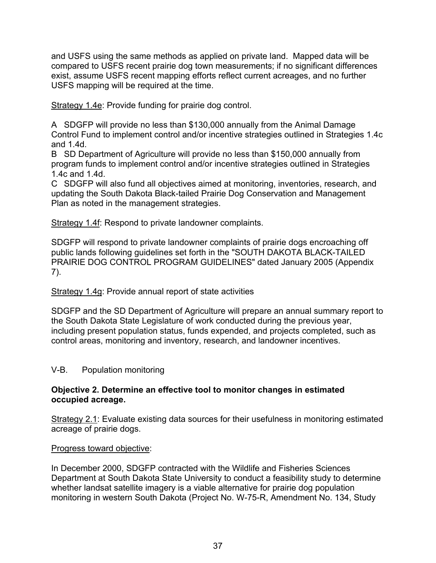and USFS using the same methods as applied on private land. Mapped data will be compared to USFS recent prairie dog town measurements; if no significant differences exist, assume USFS recent mapping efforts reflect current acreages, and no further USFS mapping will be required at the time.

Strategy 1.4e: Provide funding for prairie dog control.

A SDGFP will provide no less than \$130,000 annually from the Animal Damage Control Fund to implement control and/or incentive strategies outlined in Strategies 1.4c and 1.4d.

B SD Department of Agriculture will provide no less than \$150,000 annually from program funds to implement control and/or incentive strategies outlined in Strategies 1.4c and 1.4d.

C SDGFP will also fund all objectives aimed at monitoring, inventories, research, and updating the South Dakota Black-tailed Prairie Dog Conservation and Management Plan as noted in the management strategies.

Strategy 1.4f: Respond to private landowner complaints.

SDGFP will respond to private landowner complaints of prairie dogs encroaching off public lands following guidelines set forth in the "SOUTH DAKOTA BLACK-TAILED PRAIRIE DOG CONTROL PROGRAM GUIDELINES" dated January 2005 (Appendix 7).

Strategy 1.4g: Provide annual report of state activities

SDGFP and the SD Department of Agriculture will prepare an annual summary report to the South Dakota State Legislature of work conducted during the previous year, including present population status, funds expended, and projects completed, such as control areas, monitoring and inventory, research, and landowner incentives.

## V-B. Population monitoring

## **Objective 2. Determine an effective tool to monitor changes in estimated occupied acreage.**

Strategy 2.1: Evaluate existing data sources for their usefulness in monitoring estimated acreage of prairie dogs.

## Progress toward objective:

In December 2000, SDGFP contracted with the Wildlife and Fisheries Sciences Department at South Dakota State University to conduct a feasibility study to determine whether landsat satellite imagery is a viable alternative for prairie dog population monitoring in western South Dakota (Project No. W-75-R, Amendment No. 134, Study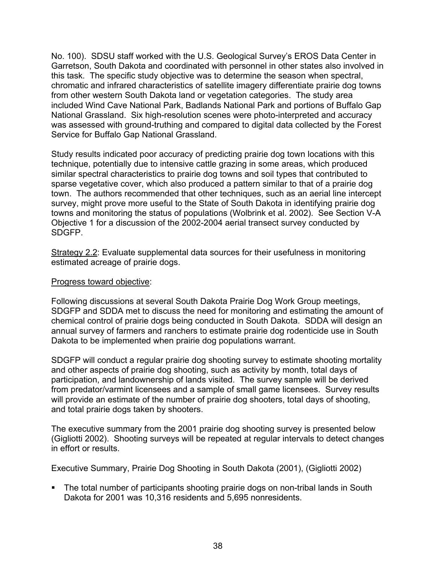No. 100). SDSU staff worked with the U.S. Geological Survey's EROS Data Center in Garretson, South Dakota and coordinated with personnel in other states also involved in this task. The specific study objective was to determine the season when spectral, chromatic and infrared characteristics of satellite imagery differentiate prairie dog towns from other western South Dakota land or vegetation categories. The study area included Wind Cave National Park, Badlands National Park and portions of Buffalo Gap National Grassland. Six high-resolution scenes were photo-interpreted and accuracy was assessed with ground-truthing and compared to digital data collected by the Forest Service for Buffalo Gap National Grassland.

Study results indicated poor accuracy of predicting prairie dog town locations with this technique, potentially due to intensive cattle grazing in some areas, which produced similar spectral characteristics to prairie dog towns and soil types that contributed to sparse vegetative cover, which also produced a pattern similar to that of a prairie dog town. The authors recommended that other techniques, such as an aerial line intercept survey, might prove more useful to the State of South Dakota in identifying prairie dog towns and monitoring the status of populations (Wolbrink et al. 2002). See Section V-A Objective 1 for a discussion of the 2002-2004 aerial transect survey conducted by SDGFP.

Strategy 2.2: Evaluate supplemental data sources for their usefulness in monitoring estimated acreage of prairie dogs.

## Progress toward objective:

Following discussions at several South Dakota Prairie Dog Work Group meetings, SDGFP and SDDA met to discuss the need for monitoring and estimating the amount of chemical control of prairie dogs being conducted in South Dakota. SDDA will design an annual survey of farmers and ranchers to estimate prairie dog rodenticide use in South Dakota to be implemented when prairie dog populations warrant.

SDGFP will conduct a regular prairie dog shooting survey to estimate shooting mortality and other aspects of prairie dog shooting, such as activity by month, total days of participation, and landownership of lands visited. The survey sample will be derived from predator/varmint licensees and a sample of small game licensees. Survey results will provide an estimate of the number of prairie dog shooters, total days of shooting, and total prairie dogs taken by shooters.

The executive summary from the 2001 prairie dog shooting survey is presented below (Gigliotti 2002). Shooting surveys will be repeated at regular intervals to detect changes in effort or results.

Executive Summary, Prairie Dog Shooting in South Dakota (2001), (Gigliotti 2002)

• The total number of participants shooting prairie dogs on non-tribal lands in South Dakota for 2001 was 10,316 residents and 5,695 nonresidents.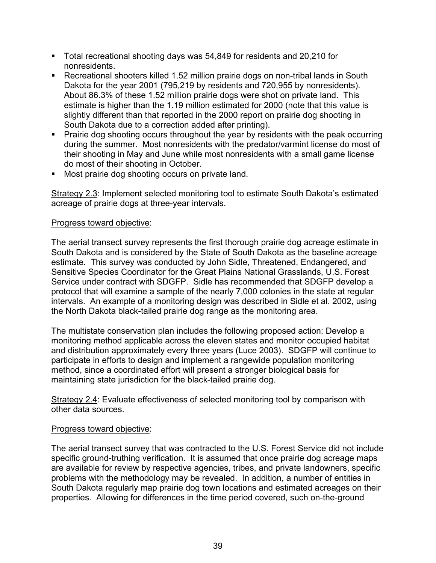- Total recreational shooting days was 54,849 for residents and 20,210 for nonresidents.
- Recreational shooters killed 1.52 million prairie dogs on non-tribal lands in South Dakota for the year 2001 (795,219 by residents and 720,955 by nonresidents). About 86.3% of these 1.52 million prairie dogs were shot on private land. This estimate is higher than the 1.19 million estimated for 2000 (note that this value is slightly different than that reported in the 2000 report on prairie dog shooting in South Dakota due to a correction added after printing).
- Prairie dog shooting occurs throughout the year by residents with the peak occurring during the summer. Most nonresidents with the predator/varmint license do most of their shooting in May and June while most nonresidents with a small game license do most of their shooting in October.
- **Most prairie dog shooting occurs on private land.**

Strategy 2.3: Implement selected monitoring tool to estimate South Dakota's estimated acreage of prairie dogs at three-year intervals.

## Progress toward objective:

The aerial transect survey represents the first thorough prairie dog acreage estimate in South Dakota and is considered by the State of South Dakota as the baseline acreage estimate. This survey was conducted by John Sidle, Threatened, Endangered, and Sensitive Species Coordinator for the Great Plains National Grasslands, U.S. Forest Service under contract with SDGFP. Sidle has recommended that SDGFP develop a protocol that will examine a sample of the nearly 7,000 colonies in the state at regular intervals. An example of a monitoring design was described in Sidle et al. 2002, using the North Dakota black-tailed prairie dog range as the monitoring area.

The multistate conservation plan includes the following proposed action: Develop a monitoring method applicable across the eleven states and monitor occupied habitat and distribution approximately every three years (Luce 2003). SDGFP will continue to participate in efforts to design and implement a rangewide population monitoring method, since a coordinated effort will present a stronger biological basis for maintaining state jurisdiction for the black-tailed prairie dog.

Strategy 2.4: Evaluate effectiveness of selected monitoring tool by comparison with other data sources.

## Progress toward objective:

The aerial transect survey that was contracted to the U.S. Forest Service did not include specific ground-truthing verification. It is assumed that once prairie dog acreage maps are available for review by respective agencies, tribes, and private landowners, specific problems with the methodology may be revealed. In addition, a number of entities in South Dakota regularly map prairie dog town locations and estimated acreages on their properties. Allowing for differences in the time period covered, such on-the-ground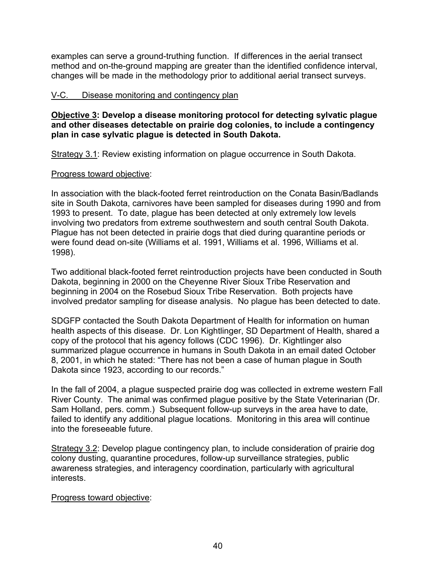examples can serve a ground-truthing function. If differences in the aerial transect method and on-the-ground mapping are greater than the identified confidence interval, changes will be made in the methodology prior to additional aerial transect surveys.

## V-C. Disease monitoring and contingency plan

**Objective 3: Develop a disease monitoring protocol for detecting sylvatic plague and other diseases detectable on prairie dog colonies, to include a contingency plan in case sylvatic plague is detected in South Dakota.**

Strategy 3.1: Review existing information on plague occurrence in South Dakota.

## Progress toward objective:

In association with the black-footed ferret reintroduction on the Conata Basin/Badlands site in South Dakota, carnivores have been sampled for diseases during 1990 and from 1993 to present. To date, plague has been detected at only extremely low levels involving two predators from extreme southwestern and south central South Dakota. Plague has not been detected in prairie dogs that died during quarantine periods or were found dead on-site (Williams et al. 1991, Williams et al. 1996, Williams et al. 1998).

Two additional black-footed ferret reintroduction projects have been conducted in South Dakota, beginning in 2000 on the Cheyenne River Sioux Tribe Reservation and beginning in 2004 on the Rosebud Sioux Tribe Reservation. Both projects have involved predator sampling for disease analysis. No plague has been detected to date.

SDGFP contacted the South Dakota Department of Health for information on human health aspects of this disease. Dr. Lon Kightlinger, SD Department of Health, shared a copy of the protocol that his agency follows (CDC 1996). Dr. Kightlinger also summarized plague occurrence in humans in South Dakota in an email dated October 8, 2001, in which he stated: "There has not been a case of human plague in South Dakota since 1923, according to our records."

In the fall of 2004, a plague suspected prairie dog was collected in extreme western Fall River County. The animal was confirmed plague positive by the State Veterinarian (Dr. Sam Holland, pers. comm.) Subsequent follow-up surveys in the area have to date, failed to identify any additional plague locations. Monitoring in this area will continue into the foreseeable future.

Strategy 3.2: Develop plague contingency plan, to include consideration of prairie dog colony dusting, quarantine procedures, follow-up surveillance strategies, public awareness strategies, and interagency coordination, particularly with agricultural interests.

## Progress toward objective: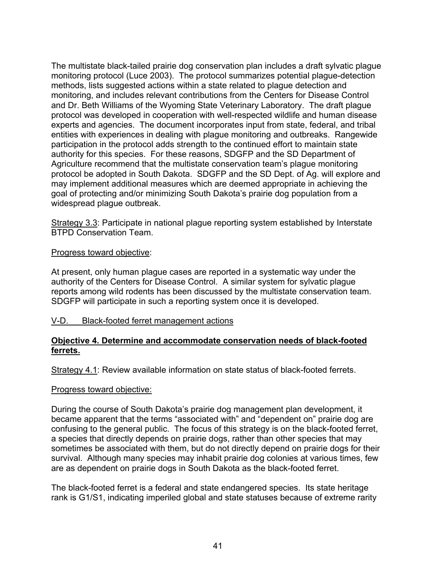The multistate black-tailed prairie dog conservation plan includes a draft sylvatic plague monitoring protocol (Luce 2003). The protocol summarizes potential plague-detection methods, lists suggested actions within a state related to plague detection and monitoring, and includes relevant contributions from the Centers for Disease Control and Dr. Beth Williams of the Wyoming State Veterinary Laboratory. The draft plague protocol was developed in cooperation with well-respected wildlife and human disease experts and agencies. The document incorporates input from state, federal, and tribal entities with experiences in dealing with plague monitoring and outbreaks. Rangewide participation in the protocol adds strength to the continued effort to maintain state authority for this species. For these reasons, SDGFP and the SD Department of Agriculture recommend that the multistate conservation team's plague monitoring protocol be adopted in South Dakota. SDGFP and the SD Dept. of Ag. will explore and may implement additional measures which are deemed appropriate in achieving the goal of protecting and/or minimizing South Dakota's prairie dog population from a widespread plague outbreak.

Strategy 3.3: Participate in national plague reporting system established by Interstate BTPD Conservation Team.

## Progress toward objective:

At present, only human plague cases are reported in a systematic way under the authority of the Centers for Disease Control. A similar system for sylvatic plague reports among wild rodents has been discussed by the multistate conservation team. SDGFP will participate in such a reporting system once it is developed.

## V-D. Black-footed ferret management actions

## **Objective 4. Determine and accommodate conservation needs of black-footed ferrets.**

Strategy 4.1: Review available information on state status of black-footed ferrets.

#### Progress toward objective:

During the course of South Dakota's prairie dog management plan development, it became apparent that the terms "associated with" and "dependent on" prairie dog are confusing to the general public. The focus of this strategy is on the black-footed ferret, a species that directly depends on prairie dogs, rather than other species that may sometimes be associated with them, but do not directly depend on prairie dogs for their survival. Although many species may inhabit prairie dog colonies at various times, few are as dependent on prairie dogs in South Dakota as the black-footed ferret.

The black-footed ferret is a federal and state endangered species. Its state heritage rank is G1/S1, indicating imperiled global and state statuses because of extreme rarity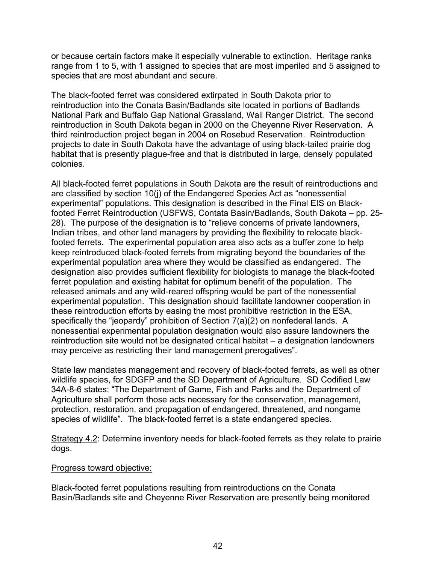or because certain factors make it especially vulnerable to extinction. Heritage ranks range from 1 to 5, with 1 assigned to species that are most imperiled and 5 assigned to species that are most abundant and secure.

The black-footed ferret was considered extirpated in South Dakota prior to reintroduction into the Conata Basin/Badlands site located in portions of Badlands National Park and Buffalo Gap National Grassland, Wall Ranger District. The second reintroduction in South Dakota began in 2000 on the Cheyenne River Reservation. A third reintroduction project began in 2004 on Rosebud Reservation. Reintroduction projects to date in South Dakota have the advantage of using black-tailed prairie dog habitat that is presently plague-free and that is distributed in large, densely populated colonies.

All black-footed ferret populations in South Dakota are the result of reintroductions and are classified by section 10(j) of the Endangered Species Act as "nonessential experimental" populations. This designation is described in the Final EIS on Blackfooted Ferret Reintroduction (USFWS, Contata Basin/Badlands, South Dakota – pp. 25- 28). The purpose of the designation is to "relieve concerns of private landowners, Indian tribes, and other land managers by providing the flexibility to relocate blackfooted ferrets. The experimental population area also acts as a buffer zone to help keep reintroduced black-footed ferrets from migrating beyond the boundaries of the experimental population area where they would be classified as endangered. The designation also provides sufficient flexibility for biologists to manage the black-footed ferret population and existing habitat for optimum benefit of the population. The released animals and any wild-reared offspring would be part of the nonessential experimental population. This designation should facilitate landowner cooperation in these reintroduction efforts by easing the most prohibitive restriction in the ESA, specifically the "jeopardy" prohibition of Section 7(a)(2) on nonfederal lands. A nonessential experimental population designation would also assure landowners the reintroduction site would not be designated critical habitat – a designation landowners may perceive as restricting their land management prerogatives".

State law mandates management and recovery of black-footed ferrets, as well as other wildlife species, for SDGFP and the SD Department of Agriculture. SD Codified Law 34A-8-6 states: "The Department of Game, Fish and Parks and the Department of Agriculture shall perform those acts necessary for the conservation, management, protection, restoration, and propagation of endangered, threatened, and nongame species of wildlife". The black-footed ferret is a state endangered species.

Strategy 4.2: Determine inventory needs for black-footed ferrets as they relate to prairie dogs.

## Progress toward objective:

Black-footed ferret populations resulting from reintroductions on the Conata Basin/Badlands site and Cheyenne River Reservation are presently being monitored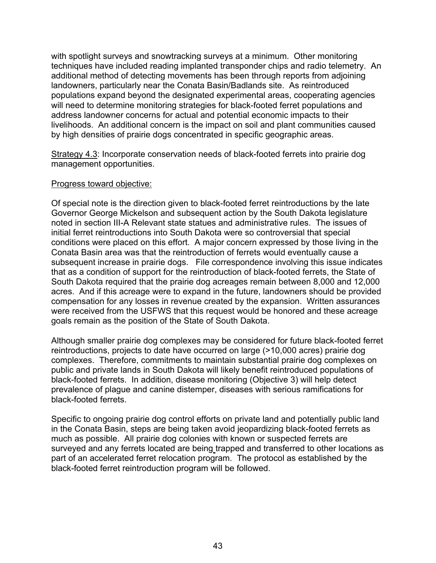with spotlight surveys and snowtracking surveys at a minimum. Other monitoring techniques have included reading implanted transponder chips and radio telemetry. An additional method of detecting movements has been through reports from adjoining landowners, particularly near the Conata Basin/Badlands site. As reintroduced populations expand beyond the designated experimental areas, cooperating agencies will need to determine monitoring strategies for black-footed ferret populations and address landowner concerns for actual and potential economic impacts to their livelihoods. An additional concern is the impact on soil and plant communities caused by high densities of prairie dogs concentrated in specific geographic areas.

Strategy 4.3: Incorporate conservation needs of black-footed ferrets into prairie dog management opportunities.

#### Progress toward objective:

Of special note is the direction given to black-footed ferret reintroductions by the late Governor George Mickelson and subsequent action by the South Dakota legislature noted in section III-A Relevant state statues and administrative rules. The issues of initial ferret reintroductions into South Dakota were so controversial that special conditions were placed on this effort. A major concern expressed by those living in the Conata Basin area was that the reintroduction of ferrets would eventually cause a subsequent increase in prairie dogs. File correspondence involving this issue indicates that as a condition of support for the reintroduction of black-footed ferrets, the State of South Dakota required that the prairie dog acreages remain between 8,000 and 12,000 acres. And if this acreage were to expand in the future, landowners should be provided compensation for any losses in revenue created by the expansion. Written assurances were received from the USFWS that this request would be honored and these acreage goals remain as the position of the State of South Dakota.

Although smaller prairie dog complexes may be considered for future black-footed ferret reintroductions, projects to date have occurred on large (>10,000 acres) prairie dog complexes. Therefore, commitments to maintain substantial prairie dog complexes on public and private lands in South Dakota will likely benefit reintroduced populations of black-footed ferrets. In addition, disease monitoring (Objective 3) will help detect prevalence of plague and canine distemper, diseases with serious ramifications for black-footed ferrets.

Specific to ongoing prairie dog control efforts on private land and potentially public land in the Conata Basin, steps are being taken avoid jeopardizing black-footed ferrets as much as possible. All prairie dog colonies with known or suspected ferrets are surveyed and any ferrets located are being trapped and transferred to other locations as part of an accelerated ferret relocation program. The protocol as established by the black-footed ferret reintroduction program will be followed.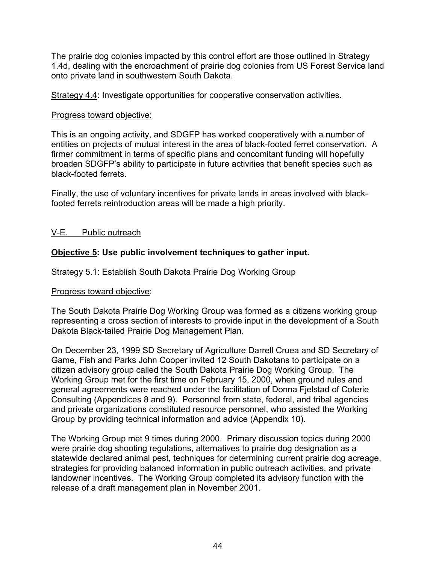The prairie dog colonies impacted by this control effort are those outlined in Strategy 1.4d, dealing with the encroachment of prairie dog colonies from US Forest Service land onto private land in southwestern South Dakota.

Strategy 4.4: Investigate opportunities for cooperative conservation activities.

## Progress toward objective:

This is an ongoing activity, and SDGFP has worked cooperatively with a number of entities on projects of mutual interest in the area of black-footed ferret conservation. A firmer commitment in terms of specific plans and concomitant funding will hopefully broaden SDGFP's ability to participate in future activities that benefit species such as black-footed ferrets.

Finally, the use of voluntary incentives for private lands in areas involved with blackfooted ferrets reintroduction areas will be made a high priority.

## V-E. Public outreach

## **Objective 5: Use public involvement techniques to gather input.**

Strategy 5.1: Establish South Dakota Prairie Dog Working Group

## Progress toward objective:

The South Dakota Prairie Dog Working Group was formed as a citizens working group representing a cross section of interests to provide input in the development of a South Dakota Black-tailed Prairie Dog Management Plan.

On December 23, 1999 SD Secretary of Agriculture Darrell Cruea and SD Secretary of Game, Fish and Parks John Cooper invited 12 South Dakotans to participate on a citizen advisory group called the South Dakota Prairie Dog Working Group. The Working Group met for the first time on February 15, 2000, when ground rules and general agreements were reached under the facilitation of Donna Fjelstad of Coterie Consulting (Appendices 8 and 9). Personnel from state, federal, and tribal agencies and private organizations constituted resource personnel, who assisted the Working Group by providing technical information and advice (Appendix 10).

The Working Group met 9 times during 2000. Primary discussion topics during 2000 were prairie dog shooting regulations, alternatives to prairie dog designation as a statewide declared animal pest, techniques for determining current prairie dog acreage, strategies for providing balanced information in public outreach activities, and private landowner incentives. The Working Group completed its advisory function with the release of a draft management plan in November 2001.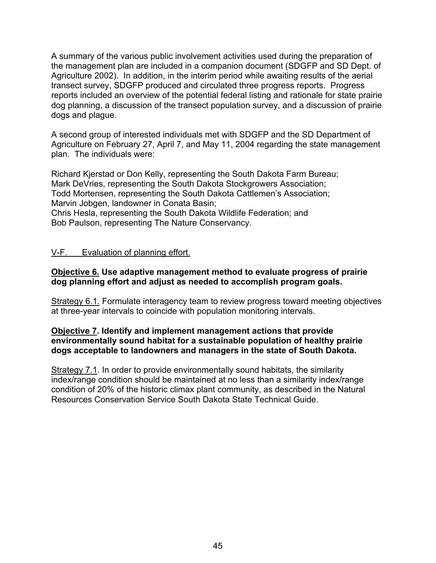A summary of the various public involvement activities used during the preparation of the management plan are included in a companion document (SDGFP and SD Dept. of Agriculture 2002). In addition, in the interim period while awaiting results of the aerial transect survey, SDGFP produced and circulated three progress reports. Progress reports included an overview of the potential federal listing and rationale for state prairie dog planning, a discussion of the transect population survey, and a discussion of prairie dogs and plague.

A second group of interested individuals met with SDGFP and the SD Department of Agriculture on February 27, April 7, and May 11, 2004 regarding the state management plan. The individuals were:

Richard Kjerstad or Don Kelly, representing the South Dakota Farm Bureau; Mark DeVries, representing the South Dakota Stockgrowers Association; Todd Mortensen, representing the South Dakota Cattlemen's Association; Marvin Jobgen, landowner in Conata Basin; Chris Hesla, representing the South Dakota Wildlife Federation; and Bob Paulson, representing The Nature Conservancy.

## V-F. Evaluation of planning effort.

#### **Objective 6. Use adaptive management method to evaluate progress of prairie dog planning effort and adjust as needed to accomplish program goals.**

Strategy 6.1. Formulate interagency team to review progress toward meeting objectives at three-year intervals to coincide with population monitoring intervals.

## **Objective 7. Identify and implement management actions that provide environmentally sound habitat for a sustainable population of healthy prairie dogs acceptable to landowners and managers in the state of South Dakota.**

Strategy 7.1. In order to provide environmentally sound habitats, the similarity index/range condition should be maintained at no less than a similarity index/range condition of 20% of the historic climax plant community, as described in the Natural Resources Conservation Service South Dakota State Technical Guide.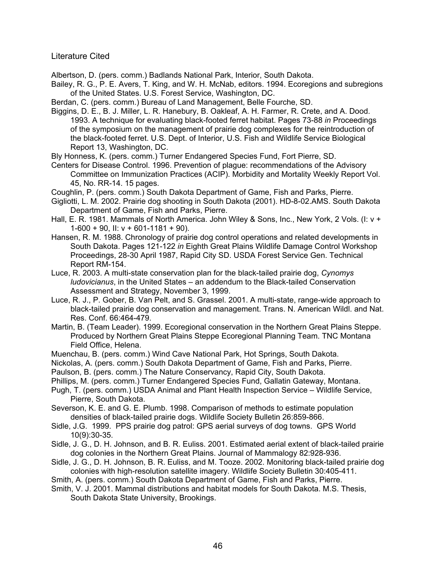Literature Cited

Albertson, D. (pers. comm.) Badlands National Park, Interior, South Dakota.

Bailey, R. G., P. E. Avers, T. King, and W. H. McNab, editors. 1994. Ecoregions and subregions of the United States. U.S. Forest Service, Washington, DC.

Berdan, C. (pers. comm.) Bureau of Land Management, Belle Fourche, SD.

Biggins, D. E., B. J. Miller, L. R. Hanebury, B. Oakleaf, A. H. Farmer, R. Crete, and A. Dood. 1993. A technique for evaluating black-footed ferret habitat. Pages 73-88 *in* Proceedings of the symposium on the management of prairie dog complexes for the reintroduction of the black-footed ferret. U.S. Dept. of Interior, U.S. Fish and Wildlife Service Biological Report 13, Washington, DC.

Bly Honness, K. (pers. comm.) Turner Endangered Species Fund, Fort Pierre, SD.

Centers for Disease Control. 1996. Prevention of plague: recommendations of the Advisory Committee on Immunization Practices (ACIP). Morbidity and Mortality Weekly Report Vol. 45, No. RR-14. 15 pages.

Coughlin, P. (pers. comm.) South Dakota Department of Game, Fish and Parks, Pierre.

Gigliotti, L. M. 2002. Prairie dog shooting in South Dakota (2001). HD-8-02.AMS. South Dakota Department of Game, Fish and Parks, Pierre.

- Hall, E. R. 1981. Mammals of North America. John Wiley & Sons, Inc., New York, 2 Vols. (I: v +  $1-600 + 90$ , II: v + 601-1181 + 90).
- Hansen, R. M. 1988. Chronology of prairie dog control operations and related developments in South Dakota. Pages 121-122 *in* Eighth Great Plains Wildlife Damage Control Workshop Proceedings, 28-30 April 1987, Rapid City SD. USDA Forest Service Gen. Technical Report RM-154.

Luce, R. 2003. A multi-state conservation plan for the black-tailed prairie dog, *Cynomys ludovicianus*, in the United States – an addendum to the Black-tailed Conservation Assessment and Strategy, November 3, 1999.

Luce, R. J., P. Gober, B. Van Pelt, and S. Grassel. 2001. A multi-state, range-wide approach to black-tailed prairie dog conservation and management. Trans. N. American Wildl. and Nat. Res. Conf. 66:464-479.

Martin, B. (Team Leader). 1999. Ecoregional conservation in the Northern Great Plains Steppe. Produced by Northern Great Plains Steppe Ecoregional Planning Team. TNC Montana Field Office, Helena.

Muenchau, B. (pers. comm.) Wind Cave National Park, Hot Springs, South Dakota.

Nickolas, A. (pers. comm.) South Dakota Department of Game, Fish and Parks, Pierre.

Paulson, B. (pers. comm.) The Nature Conservancy, Rapid City, South Dakota.

Phillips, M. (pers. comm.) Turner Endangered Species Fund, Gallatin Gateway, Montana.

Pugh, T. (pers. comm.) USDA Animal and Plant Health Inspection Service – Wildlife Service, Pierre, South Dakota.

Severson, K. E. and G. E. Plumb. 1998. Comparison of methods to estimate population densities of black-tailed prairie dogs. Wildlife Society Bulletin 26:859-866.

Sidle, J.G. 1999. PPS prairie dog patrol: GPS aerial surveys of dog towns. GPS World 10(9):30-35.

Sidle, J. G., D. H. Johnson, and B. R. Euliss. 2001. Estimated aerial extent of black-tailed prairie dog colonies in the Northern Great Plains. Journal of Mammalogy 82:928-936.

Sidle, J. G., D. H. Johnson, B. R. Euliss, and M. Tooze. 2002. Monitoring black-tailed prairie dog colonies with high-resolution satellite imagery. Wildlife Society Bulletin 30:405-411.

Smith, A. (pers. comm.) South Dakota Department of Game, Fish and Parks, Pierre.

Smith, V. J. 2001. Mammal distributions and habitat models for South Dakota. M.S. Thesis, South Dakota State University, Brookings.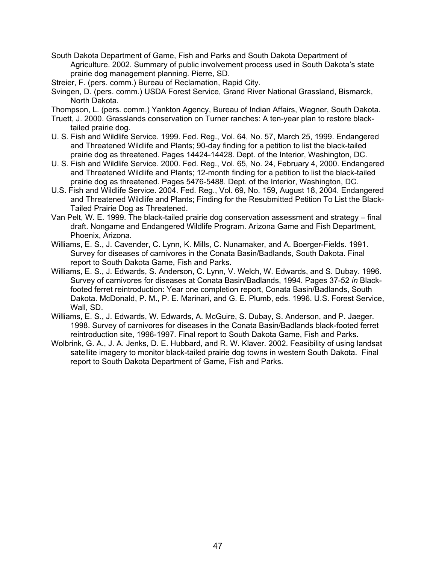South Dakota Department of Game, Fish and Parks and South Dakota Department of Agriculture. 2002. Summary of public involvement process used in South Dakota's state prairie dog management planning. Pierre, SD.

Streier, F. (pers. comm.) Bureau of Reclamation, Rapid City.

Svingen, D. (pers. comm.) USDA Forest Service, Grand River National Grassland, Bismarck, North Dakota.

Thompson, L. (pers. comm.) Yankton Agency, Bureau of Indian Affairs, Wagner, South Dakota.

- Truett, J. 2000. Grasslands conservation on Turner ranches: A ten-year plan to restore blacktailed prairie dog.
- U. S. Fish and Wildlife Service. 1999. Fed. Reg., Vol. 64, No. 57, March 25, 1999. Endangered and Threatened Wildlife and Plants; 90-day finding for a petition to list the black-tailed prairie dog as threatened. Pages 14424-14428. Dept. of the Interior, Washington, DC.
- U. S. Fish and Wildlife Service. 2000. Fed. Reg., Vol. 65, No. 24, February 4, 2000. Endangered and Threatened Wildlife and Plants; 12-month finding for a petition to list the black-tailed prairie dog as threatened. Pages 5476-5488. Dept. of the Interior, Washington, DC.
- U.S. Fish and Wildlife Service. 2004. Fed. Reg., Vol. 69, No. 159, August 18, 2004. Endangered and Threatened Wildlife and Plants; Finding for the Resubmitted Petition To List the Black-Tailed Prairie Dog as Threatened.
- Van Pelt, W. E. 1999. The black-tailed prairie dog conservation assessment and strategy final draft. Nongame and Endangered Wildlife Program. Arizona Game and Fish Department, Phoenix, Arizona.
- Williams, E. S., J. Cavender, C. Lynn, K. Mills, C. Nunamaker, and A. Boerger-Fields. 1991. Survey for diseases of carnivores in the Conata Basin/Badlands, South Dakota. Final report to South Dakota Game, Fish and Parks.
- Williams, E. S., J. Edwards, S. Anderson, C. Lynn, V. Welch, W. Edwards, and S. Dubay. 1996. Survey of carnivores for diseases at Conata Basin/Badlands, 1994. Pages 37-52 *in* Blackfooted ferret reintroduction: Year one completion report, Conata Basin/Badlands, South Dakota. McDonald, P. M., P. E. Marinari, and G. E. Plumb, eds. 1996. U.S. Forest Service, Wall, SD.
- Williams, E. S., J. Edwards, W. Edwards, A. McGuire, S. Dubay, S. Anderson, and P. Jaeger. 1998. Survey of carnivores for diseases in the Conata Basin/Badlands black-footed ferret reintroduction site, 1996-1997. Final report to South Dakota Game, Fish and Parks.
- Wolbrink, G. A., J. A. Jenks, D. E. Hubbard, and R. W. Klaver. 2002. Feasibility of using landsat satellite imagery to monitor black-tailed prairie dog towns in western South Dakota. Final report to South Dakota Department of Game, Fish and Parks.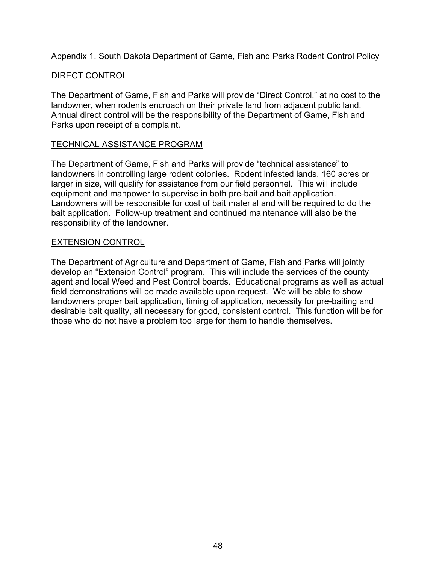Appendix 1. South Dakota Department of Game, Fish and Parks Rodent Control Policy

## DIRECT CONTROL

The Department of Game, Fish and Parks will provide "Direct Control," at no cost to the landowner, when rodents encroach on their private land from adjacent public land. Annual direct control will be the responsibility of the Department of Game, Fish and Parks upon receipt of a complaint.

## TECHNICAL ASSISTANCE PROGRAM

The Department of Game, Fish and Parks will provide "technical assistance" to landowners in controlling large rodent colonies. Rodent infested lands, 160 acres or larger in size, will qualify for assistance from our field personnel. This will include equipment and manpower to supervise in both pre-bait and bait application. Landowners will be responsible for cost of bait material and will be required to do the bait application. Follow-up treatment and continued maintenance will also be the responsibility of the landowner.

## EXTENSION CONTROL

The Department of Agriculture and Department of Game, Fish and Parks will jointly develop an "Extension Control" program. This will include the services of the county agent and local Weed and Pest Control boards. Educational programs as well as actual field demonstrations will be made available upon request. We will be able to show landowners proper bait application, timing of application, necessity for pre-baiting and desirable bait quality, all necessary for good, consistent control. This function will be for those who do not have a problem too large for them to handle themselves.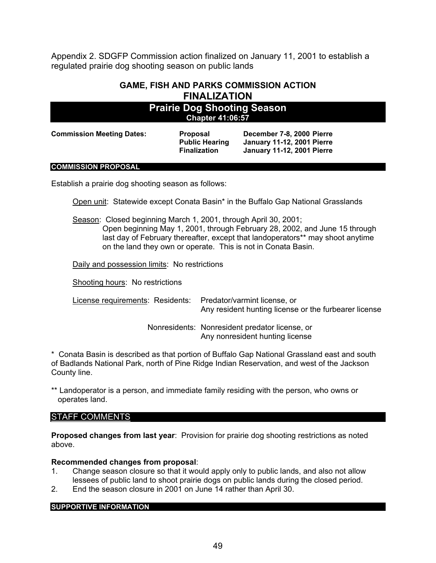Appendix 2. SDGFP Commission action finalized on January 11, 2001 to establish a regulated prairie dog shooting season on public lands

## **GAME, FISH AND PARKS COMMISSION ACTION FINALIZATION**

## **Prairie Dog Shooting Season Chapter 41:06:57**

**Commission Meeting Dates: Proposal December 7-8, 2000 Pierre**

**Public Hearing January 11-12, 2001 Pierre Finalization January 11-12, 2001 Pierre**

#### **COMMISSION PROPOSAL**

Establish a prairie dog shooting season as follows:

Open unit: Statewide except Conata Basin\* in the Buffalo Gap National Grasslands

Season: Closed beginning March 1, 2001, through April 30, 2001;

Open beginning May 1, 2001, through February 28, 2002, and June 15 through last day of February thereafter, except that landoperators\*\* may shoot anytime on the land they own or operate. This is not in Conata Basin.

Daily and possession limits: No restrictions

Shooting hours: No restrictions

License requirements: Residents: Predator/varmint license, or Any resident hunting license or the furbearer license

> Nonresidents: Nonresident predator license, or Any nonresident hunting license

\* Conata Basin is described as that portion of Buffalo Gap National Grassland east and south of Badlands National Park, north of Pine Ridge Indian Reservation, and west of the Jackson County line.

\*\* Landoperator is a person, and immediate family residing with the person, who owns or operates land.

#### STAFF COMMENTS

**Proposed changes from last year**: Provision for prairie dog shooting restrictions as noted above.

#### **Recommended changes from proposal**:

- 1. Change season closure so that it would apply only to public lands, and also not allow lessees of public land to shoot prairie dogs on public lands during the closed period.
- 2. End the season closure in 2001 on June 14 rather than April 30.

**SUPPORTIVE INFORMATION**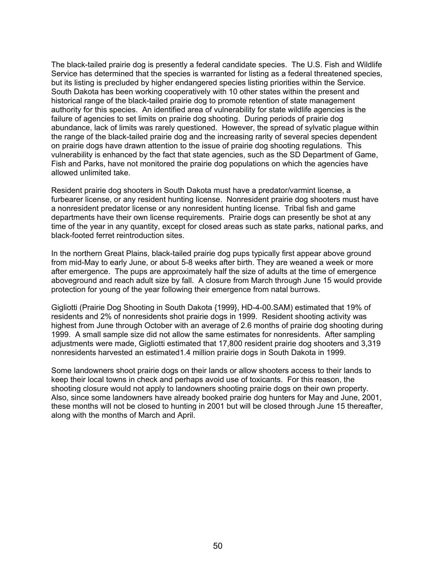The black-tailed prairie dog is presently a federal candidate species. The U.S. Fish and Wildlife Service has determined that the species is warranted for listing as a federal threatened species, but its listing is precluded by higher endangered species listing priorities within the Service. South Dakota has been working cooperatively with 10 other states within the present and historical range of the black-tailed prairie dog to promote retention of state management authority for this species. An identified area of vulnerability for state wildlife agencies is the failure of agencies to set limits on prairie dog shooting. During periods of prairie dog abundance, lack of limits was rarely questioned. However, the spread of sylvatic plague within the range of the black-tailed prairie dog and the increasing rarity of several species dependent on prairie dogs have drawn attention to the issue of prairie dog shooting regulations. This vulnerability is enhanced by the fact that state agencies, such as the SD Department of Game, Fish and Parks, have not monitored the prairie dog populations on which the agencies have allowed unlimited take.

Resident prairie dog shooters in South Dakota must have a predator/varmint license, a furbearer license, or any resident hunting license. Nonresident prairie dog shooters must have a nonresident predator license or any nonresident hunting license. Tribal fish and game departments have their own license requirements. Prairie dogs can presently be shot at any time of the year in any quantity, except for closed areas such as state parks, national parks, and black-footed ferret reintroduction sites.

In the northern Great Plains, black-tailed prairie dog pups typically first appear above ground from mid-May to early June, or about 5-8 weeks after birth. They are weaned a week or more after emergence. The pups are approximately half the size of adults at the time of emergence aboveground and reach adult size by fall. A closure from March through June 15 would provide protection for young of the year following their emergence from natal burrows.

Gigliotti (Prairie Dog Shooting in South Dakota {1999}, HD-4-00.SAM) estimated that 19% of residents and 2% of nonresidents shot prairie dogs in 1999. Resident shooting activity was highest from June through October with an average of 2.6 months of prairie dog shooting during 1999. A small sample size did not allow the same estimates for nonresidents. After sampling adjustments were made, Gigliotti estimated that 17,800 resident prairie dog shooters and 3,319 nonresidents harvested an estimated1.4 million prairie dogs in South Dakota in 1999.

Some landowners shoot prairie dogs on their lands or allow shooters access to their lands to keep their local towns in check and perhaps avoid use of toxicants. For this reason, the shooting closure would not apply to landowners shooting prairie dogs on their own property. Also, since some landowners have already booked prairie dog hunters for May and June, 2001, these months will not be closed to hunting in 2001 but will be closed through June 15 thereafter, along with the months of March and April.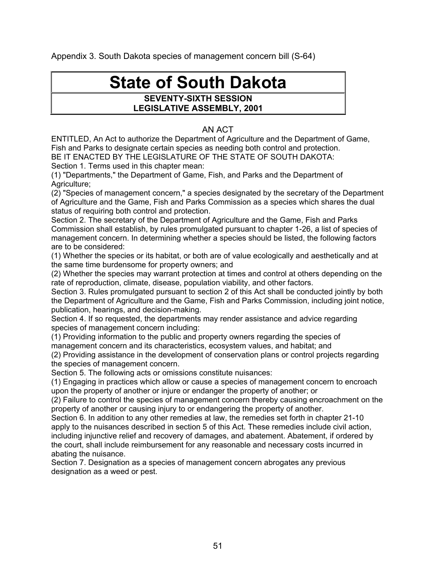Appendix 3. South Dakota species of management concern bill (S-64)

# **State of South Dakota**

#### **SEVENTY-SIXTH SESSION LEGISLATIVE ASSEMBLY, 2001**

## AN ACT

ENTITLED, An Act to authorize the Department of Agriculture and the Department of Game, Fish and Parks to designate certain species as needing both control and protection. BE IT ENACTED BY THE LEGISLATURE OF THE STATE OF SOUTH DAKOTA:

Section 1. Terms used in this chapter mean:

(1) "Departments," the Department of Game, Fish, and Parks and the Department of Agriculture;

(2) "Species of management concern," a species designated by the secretary of the Department of Agriculture and the Game, Fish and Parks Commission as a species which shares the dual status of requiring both control and protection.

Section 2. The secretary of the Department of Agriculture and the Game, Fish and Parks Commission shall establish, by rules promulgated pursuant to chapter 1-26, a list of species of management concern. In determining whether a species should be listed, the following factors are to be considered:

(1) Whether the species or its habitat, or both are of value ecologically and aesthetically and at the same time burdensome for property owners; and

(2) Whether the species may warrant protection at times and control at others depending on the rate of reproduction, climate, disease, population viability, and other factors.

Section 3. Rules promulgated pursuant to section 2 of this Act shall be conducted jointly by both the Department of Agriculture and the Game, Fish and Parks Commission, including joint notice, publication, hearings, and decision-making.

Section 4. If so requested, the departments may render assistance and advice regarding species of management concern including:

(1) Providing information to the public and property owners regarding the species of management concern and its characteristics, ecosystem values, and habitat; and

(2) Providing assistance in the development of conservation plans or control projects regarding the species of management concern.

Section 5. The following acts or omissions constitute nuisances:

(1) Engaging in practices which allow or cause a species of management concern to encroach upon the property of another or injure or endanger the property of another; or

(2) Failure to control the species of management concern thereby causing encroachment on the property of another or causing injury to or endangering the property of another.

Section 6. In addition to any other remedies at law, the remedies set forth in chapter 21-10 apply to the nuisances described in section 5 of this Act. These remedies include civil action, including injunctive relief and recovery of damages, and abatement. Abatement, if ordered by the court, shall include reimbursement for any reasonable and necessary costs incurred in abating the nuisance.

Section 7. Designation as a species of management concern abrogates any previous designation as a weed or pest.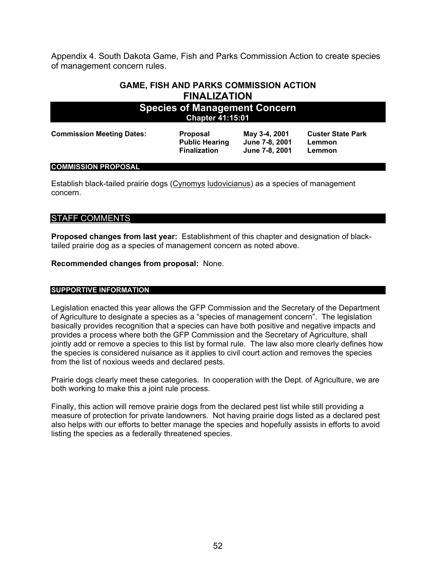Appendix 4. South Dakota Game, Fish and Parks Commission Action to create species of management concern rules.

## **GAME, FISH AND PARKS COMMISSION ACTION FINALIZATION**

| <b>Species of Management Concern</b><br><b>Chapter 41:15:01</b> |                                                                 |                                                   |                                              |  |  |  |  |  |
|-----------------------------------------------------------------|-----------------------------------------------------------------|---------------------------------------------------|----------------------------------------------|--|--|--|--|--|
| <b>Commission Meeting Dates:</b>                                | <b>Proposal</b><br><b>Public Hearing</b><br><b>Finalization</b> | May 3-4, 2001<br>June 7-8, 2001<br>June 7-8, 2001 | <b>Custer State Park</b><br>Lemmon<br>Lemmon |  |  |  |  |  |
| COMMICCION BRODOCAL                                             |                                                                 |                                                   |                                              |  |  |  |  |  |

#### **COMMISSION PROPOSAL**

Establish black-tailed prairie dogs (Cynomys ludovicianus) as a species of management concern.

#### STAFF COMMENTS

**Proposed changes from last year:** Establishment of this chapter and designation of blacktailed prairie dog as a species of management concern as noted above.

**Recommended changes from proposal:** None.

#### **SUPPORTIVE INFORMATION**

Legislation enacted this year allows the GFP Commission and the Secretary of the Department of Agriculture to designate a species as a "species of management concern". The legislation basically provides recognition that a species can have both positive and negative impacts and provides a process where both the GFP Commission and the Secretary of Agriculture, shall jointly add or remove a species to this list by formal rule. The law also more clearly defines how the species is considered nuisance as it applies to civil court action and removes the species from the list of noxious weeds and declared pests.

Prairie dogs clearly meet these categories. In cooperation with the Dept. of Agriculture, we are both working to make this a joint rule process.

Finally, this action will remove prairie dogs from the declared pest list while still providing a measure of protection for private landowners. Not having prairie dogs listed as a declared pest also helps with our efforts to better manage the species and hopefully assists in efforts to avoid listing the species as a federally threatened species.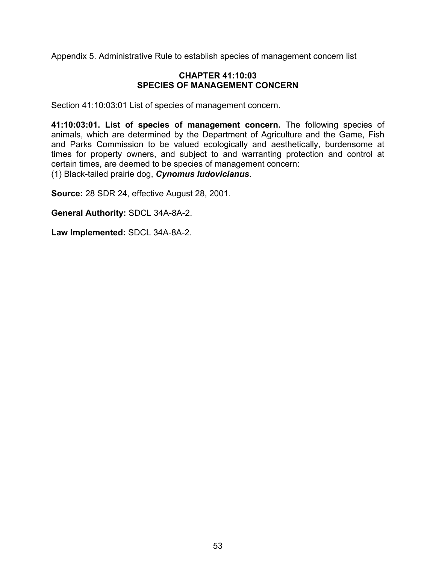Appendix 5. Administrative Rule to establish species of management concern list

#### **CHAPTER 41:10:03 SPECIES OF MANAGEMENT CONCERN**

Section 41:10:03:01 List of species of management concern.

**41:10:03:01. List of species of management concern.** The following species of animals, which are determined by the Department of Agriculture and the Game, Fish and Parks Commission to be valued ecologically and aesthetically, burdensome at times for property owners, and subject to and warranting protection and control at certain times, are deemed to be species of management concern: (1) Black-tailed prairie dog, *Cynomus ludovicianus*.

**Source:** 28 SDR 24, effective August 28, 2001.

**General Authority:** SDCL 34A-8A-2.

**Law Implemented:** SDCL 34A-8A-2.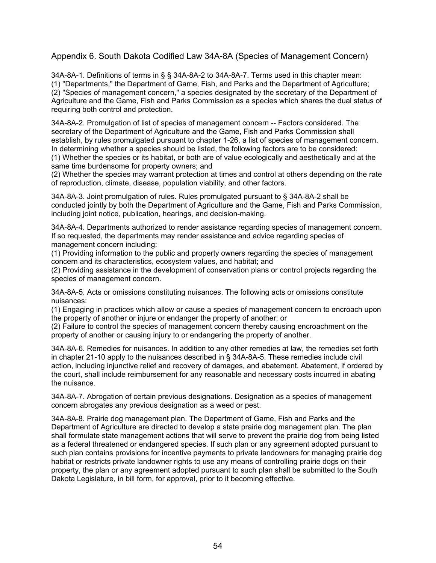#### Appendix 6. South Dakota Codified Law 34A-8A (Species of Management Concern)

34A-8A-1. Definitions of terms in § § 34A-8A-2 to 34A-8A-7. Terms used in this chapter mean: (1) "Departments," the Department of Game, Fish, and Parks and the Department of Agriculture; (2) "Species of management concern," a species designated by the secretary of the Department of Agriculture and the Game, Fish and Parks Commission as a species which shares the dual status of requiring both control and protection.

34A-8A-2. Promulgation of list of species of management concern -- Factors considered. The secretary of the Department of Agriculture and the Game, Fish and Parks Commission shall establish, by rules promulgated pursuant to chapter 1-26, a list of species of management concern. In determining whether a species should be listed, the following factors are to be considered: (1) Whether the species or its habitat, or both are of value ecologically and aesthetically and at the same time burdensome for property owners; and

(2) Whether the species may warrant protection at times and control at others depending on the rate of reproduction, climate, disease, population viability, and other factors.

34A-8A-3. Joint promulgation of rules. Rules promulgated pursuant to § 34A-8A-2 shall be conducted jointly by both the Department of Agriculture and the Game, Fish and Parks Commission, including joint notice, publication, hearings, and decision-making.

34A-8A-4. Departments authorized to render assistance regarding species of management concern. If so requested, the departments may render assistance and advice regarding species of management concern including:

(1) Providing information to the public and property owners regarding the species of management concern and its characteristics, ecosystem values, and habitat; and

(2) Providing assistance in the development of conservation plans or control projects regarding the species of management concern.

34A-8A-5. Acts or omissions constituting nuisances. The following acts or omissions constitute nuisances:

(1) Engaging in practices which allow or cause a species of management concern to encroach upon the property of another or injure or endanger the property of another; or

(2) Failure to control the species of management concern thereby causing encroachment on the property of another or causing injury to or endangering the property of another.

34A-8A-6. Remedies for nuisances. In addition to any other remedies at law, the remedies set forth in chapter 21-10 apply to the nuisances described in § 34A-8A-5. These remedies include civil action, including injunctive relief and recovery of damages, and abatement. Abatement, if ordered by the court, shall include reimbursement for any reasonable and necessary costs incurred in abating the nuisance.

34A-8A-7. Abrogation of certain previous designations. Designation as a species of management concern abrogates any previous designation as a weed or pest.

34A-8A-8. Prairie dog management plan. The Department of Game, Fish and Parks and the Department of Agriculture are directed to develop a state prairie dog management plan. The plan shall formulate state management actions that will serve to prevent the prairie dog from being listed as a federal threatened or endangered species. If such plan or any agreement adopted pursuant to such plan contains provisions for incentive payments to private landowners for managing prairie dog habitat or restricts private landowner rights to use any means of controlling prairie dogs on their property, the plan or any agreement adopted pursuant to such plan shall be submitted to the South Dakota Legislature, in bill form, for approval, prior to it becoming effective.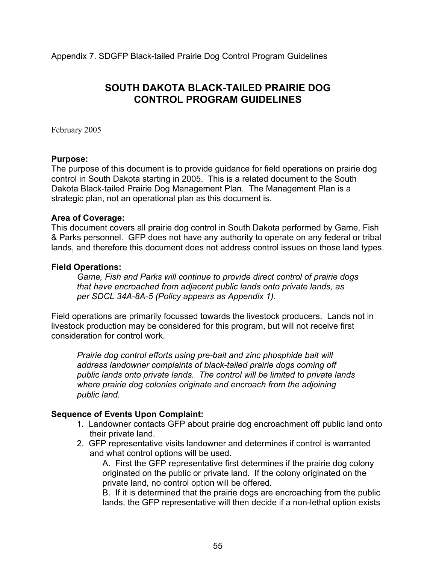Appendix 7. SDGFP Black-tailed Prairie Dog Control Program Guidelines

## **SOUTH DAKOTA BLACK-TAILED PRAIRIE DOG CONTROL PROGRAM GUIDELINES**

February 2005

#### **Purpose:**

The purpose of this document is to provide guidance for field operations on prairie dog control in South Dakota starting in 2005. This is a related document to the South Dakota Black-tailed Prairie Dog Management Plan. The Management Plan is a strategic plan, not an operational plan as this document is.

#### **Area of Coverage:**

This document covers all prairie dog control in South Dakota performed by Game, Fish & Parks personnel. GFP does not have any authority to operate on any federal or tribal lands, and therefore this document does not address control issues on those land types.

## **Field Operations:**

*Game, Fish and Parks will continue to provide direct control of prairie dogs that have encroached from adjacent public lands onto private lands, as per SDCL 34A-8A-5 (Policy appears as Appendix 1).*

Field operations are primarily focussed towards the livestock producers. Lands not in livestock production may be considered for this program, but will not receive first consideration for control work.

*Prairie dog control efforts using pre-bait and zinc phosphide bait will address landowner complaints of black-tailed prairie dogs coming off public lands onto private lands. The control will be limited to private lands where prairie dog colonies originate and encroach from the adjoining public land.*

## **Sequence of Events Upon Complaint:**

- 1. Landowner contacts GFP about prairie dog encroachment off public land onto their private land.
- 2. GFP representative visits landowner and determines if control is warranted and what control options will be used.

A. First the GFP representative first determines if the prairie dog colony originated on the public or private land. If the colony originated on the private land, no control option will be offered.

B. If it is determined that the prairie dogs are encroaching from the public lands, the GFP representative will then decide if a non-lethal option exists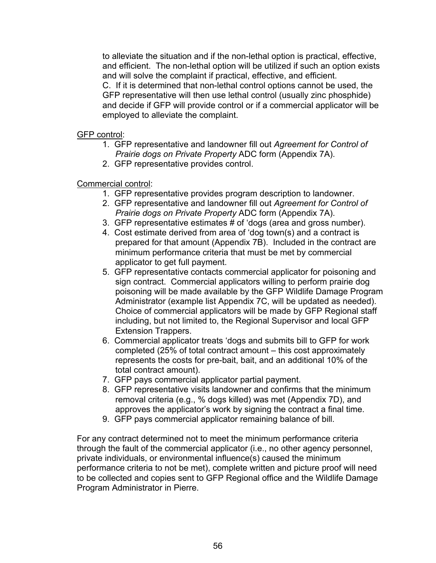to alleviate the situation and if the non-lethal option is practical, effective, and efficient. The non-lethal option will be utilized if such an option exists and will solve the complaint if practical, effective, and efficient. C. If it is determined that non-lethal control options cannot be used, the GFP representative will then use lethal control (usually zinc phosphide) and decide if GFP will provide control or if a commercial applicator will be employed to alleviate the complaint.

## GFP control:

- 1. GFP representative and landowner fill out *Agreement for Control of Prairie dogs on Private Property* ADC form (Appendix 7A).
- 2. GFP representative provides control.

## Commercial control:

- 1. GFP representative provides program description to landowner.
- 2. GFP representative and landowner fill out *Agreement for Control of Prairie dogs on Private Property* ADC form (Appendix 7A).
- 3. GFP representative estimates # of 'dogs (area and gross number).
- 4. Cost estimate derived from area of 'dog town(s) and a contract is prepared for that amount (Appendix 7B). Included in the contract are minimum performance criteria that must be met by commercial applicator to get full payment.
- 5. GFP representative contacts commercial applicator for poisoning and sign contract. Commercial applicators willing to perform prairie dog poisoning will be made available by the GFP Wildlife Damage Program Administrator (example list Appendix 7C, will be updated as needed). Choice of commercial applicators will be made by GFP Regional staff including, but not limited to, the Regional Supervisor and local GFP Extension Trappers.
- 6. Commercial applicator treats 'dogs and submits bill to GFP for work completed (25% of total contract amount – this cost approximately represents the costs for pre-bait, bait, and an additional 10% of the total contract amount).
- 7. GFP pays commercial applicator partial payment.
- 8. GFP representative visits landowner and confirms that the minimum removal criteria (e.g., % dogs killed) was met (Appendix 7D), and approves the applicator's work by signing the contract a final time.
- 9. GFP pays commercial applicator remaining balance of bill.

For any contract determined not to meet the minimum performance criteria through the fault of the commercial applicator (i.e., no other agency personnel, private individuals, or environmental influence(s) caused the minimum performance criteria to not be met), complete written and picture proof will need to be collected and copies sent to GFP Regional office and the Wildlife Damage Program Administrator in Pierre.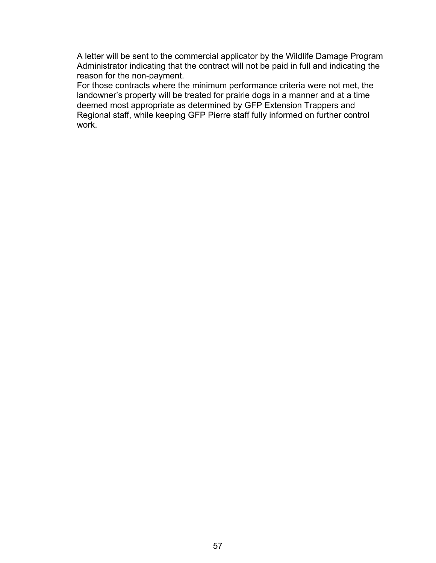A letter will be sent to the commercial applicator by the Wildlife Damage Program Administrator indicating that the contract will not be paid in full and indicating the reason for the non-payment.

For those contracts where the minimum performance criteria were not met, the landowner's property will be treated for prairie dogs in a manner and at a time deemed most appropriate as determined by GFP Extension Trappers and Regional staff, while keeping GFP Pierre staff fully informed on further control work.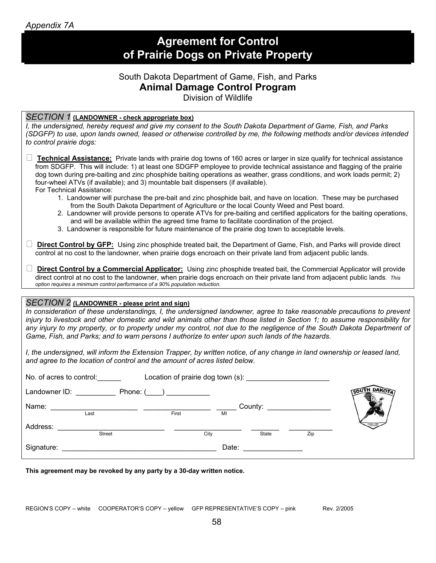|  |  | Appendix 7A |
|--|--|-------------|
|  |  |             |

# **Agreement for Control of Prairie Dogs on Private Property**

## South Dakota Department of Game, Fish, and Parks **Animal Damage Control Program**

Division of Wildlife

| SECTION 1 (LANDOWNER - check appropriate box)<br>I, the undersigned, hereby request and give my consent to the South Dakota Department of Game, Fish, and Parks<br>(SDGFP) to use, upon lands owned, leased or otherwise controlled by me, the following methods and/or devices intended<br>to control prairie dogs:                                                                                                                                                                                                                      |
|-------------------------------------------------------------------------------------------------------------------------------------------------------------------------------------------------------------------------------------------------------------------------------------------------------------------------------------------------------------------------------------------------------------------------------------------------------------------------------------------------------------------------------------------|
| ⊔<br><b>Technical Assistance:</b> Private lands with prairie dog towns of 160 acres or larger in size qualify for technical assistance<br>from SDGFP. This will include: 1) at least one SDGFP employee to provide technical assistance and flagging of the prairie<br>dog town during pre-baiting and zinc phosphide baiting operations as weather, grass conditions, and work loads permit; 2)<br>four-wheel ATVs (if available); and 3) mountable bait dispensers (if available).<br>For Technical Assistance:                         |
| 1. Landowner will purchase the pre-bait and zinc phosphide bait, and have on location. These may be purchased<br>from the South Dakota Department of Agriculture or the local County Weed and Pest board.<br>2. Landowner will provide persons to operate ATVs for pre-baiting and certified applicators for the baiting operations,<br>and will be available within the agreed time frame to facilitate coordination of the project.<br>3. Landowner is responsible for future maintenance of the prairie dog town to acceptable levels. |
| <b>Direct Control by GFP:</b> Using zinc phosphide treated bait, the Department of Game, Fish, and Parks will provide direct<br>control at no cost to the landowner, when prairie dogs encroach on their private land from adjacent public lands.                                                                                                                                                                                                                                                                                         |
| $\Box$<br>Direct Control by a Commercial Applicator: Using zinc phosphide treated bait, the Commercial Applicator will provide<br>direct control at no cost to the landowner, when prairie dogs encroach on their private land from adjacent public lands. This<br>option requires a minimum control performance of a 90% population reduction.                                                                                                                                                                                           |
|                                                                                                                                                                                                                                                                                                                                                                                                                                                                                                                                           |
| SECTION 2 (LANDOWNER - please print and sign)<br>In consideration of these understandings, I, the undersigned landowner, agree to take reasonable precautions to prevent<br>injury to livestock and other domestic and wild animals other than those listed in Section 1; to assume responsibility for<br>any injury to my property, or to property under my control, not due to the negligence of the South Dakota Department of<br>Game, Fish, and Parks; and to warn persons I authorize to enter upon such lands of the hazards.      |
| I, the undersigned, will inform the Extension Trapper, by written notice, of any change in land ownership or leased land,<br>and agree to the location of control and the amount of acres listed below.                                                                                                                                                                                                                                                                                                                                   |
| Location of prairie dog town (s): ____________________<br>No. of acres to control:                                                                                                                                                                                                                                                                                                                                                                                                                                                        |
| <b>OUTH DAK</b><br>Landowner ID: Phone: ( )                                                                                                                                                                                                                                                                                                                                                                                                                                                                                               |
| Name:<br>First<br>County:<br>$\overline{Last}$                                                                                                                                                                                                                                                                                                                                                                                                                                                                                            |
| Address:<br>Street<br>City<br>Zip<br><b>State</b>                                                                                                                                                                                                                                                                                                                                                                                                                                                                                         |
| Date:<br>Signature:                                                                                                                                                                                                                                                                                                                                                                                                                                                                                                                       |

**This agreement may be revoked by any party by a 30-day written notice.**

REGION'S COPY – white COOPERATOR'S COPY – yellow GFP REPRESENTATIVE'S COPY – pink Rev. 2/2005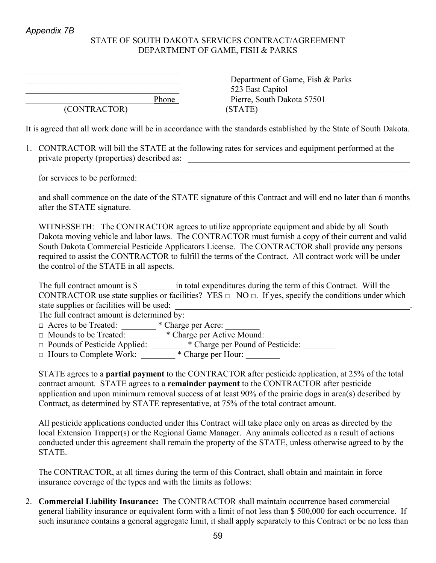## STATE OF SOUTH DAKOTA SERVICES CONTRACT/AGREEMENT DEPARTMENT OF GAME, FISH & PARKS

 $\mathcal{L}_\text{max}$ 

(CONTRACTOR) (STATE)

Department of Game, Fish & Parks 523 East Capitol Phone Pierre, South Dakota 57501

It is agreed that all work done will be in accordance with the standards established by the State of South Dakota.

1. CONTRACTOR will bill the STATE at the following rates for services and equipment performed at the private property (properties) described as:

for services to be performed:

and shall commence on the date of the STATE signature of this Contract and will end no later than 6 months after the STATE signature.

 $\mathcal{L}_\mathcal{L} = \{ \mathcal{L}_\mathcal{L} = \{ \mathcal{L}_\mathcal{L} = \{ \mathcal{L}_\mathcal{L} = \{ \mathcal{L}_\mathcal{L} = \{ \mathcal{L}_\mathcal{L} = \{ \mathcal{L}_\mathcal{L} = \{ \mathcal{L}_\mathcal{L} = \{ \mathcal{L}_\mathcal{L} = \{ \mathcal{L}_\mathcal{L} = \{ \mathcal{L}_\mathcal{L} = \{ \mathcal{L}_\mathcal{L} = \{ \mathcal{L}_\mathcal{L} = \{ \mathcal{L}_\mathcal{L} = \{ \mathcal{L}_\mathcal{$ 

 $\mathcal{L}_\mathcal{L} = \{ \mathcal{L}_\mathcal{L} = \{ \mathcal{L}_\mathcal{L} = \{ \mathcal{L}_\mathcal{L} = \{ \mathcal{L}_\mathcal{L} = \{ \mathcal{L}_\mathcal{L} = \{ \mathcal{L}_\mathcal{L} = \{ \mathcal{L}_\mathcal{L} = \{ \mathcal{L}_\mathcal{L} = \{ \mathcal{L}_\mathcal{L} = \{ \mathcal{L}_\mathcal{L} = \{ \mathcal{L}_\mathcal{L} = \{ \mathcal{L}_\mathcal{L} = \{ \mathcal{L}_\mathcal{L} = \{ \mathcal{L}_\mathcal{$ 

WITNESSETH: The CONTRACTOR agrees to utilize appropriate equipment and abide by all South Dakota moving vehicle and labor laws. The CONTRACTOR must furnish a copy of their current and valid South Dakota Commercial Pesticide Applicators License. The CONTRACTOR shall provide any persons required to assist the CONTRACTOR to fulfill the terms of the Contract. All contract work will be under the control of the STATE in all aspects.

| The full contract amount is \$             | in total expenditures during the term of this Contract. Will the                                               |
|--------------------------------------------|----------------------------------------------------------------------------------------------------------------|
|                                            | CONTRACTOR use state supplies or facilities? YES $\Box$ NO $\Box$ . If yes, specify the conditions under which |
| state supplies or facilities will be used: |                                                                                                                |
| The full contract amount is determined by: |                                                                                                                |
| $\Box$ Acres to be Treated:                | * Charge per Acre:                                                                                             |

□ Mounds to be Treated: \_\_\_\_\_\_\_\_ \* Charge per Active Mound: \_\_\_\_\_\_\_\_

□ Pounds of Pesticide Applied: \_\_\_\_\_\_\_ \* Charge per Pound of Pesticide: \_\_\_\_\_\_\_

□ Hours to Complete Work: \* Charge per Hour:

STATE agrees to a **partial payment** to the CONTRACTOR after pesticide application, at 25% of the total contract amount. STATE agrees to a **remainder payment** to the CONTRACTOR after pesticide application and upon minimum removal success of at least 90% of the prairie dogs in area(s) described by Contract, as determined by STATE representative, at 75% of the total contract amount.

All pesticide applications conducted under this Contract will take place only on areas as directed by the local Extension Trapper(s) or the Regional Game Manager. Any animals collected as a result of actions conducted under this agreement shall remain the property of the STATE, unless otherwise agreed to by the **STATE** 

The CONTRACTOR, at all times during the term of this Contract, shall obtain and maintain in force insurance coverage of the types and with the limits as follows:

2. **Commercial Liability Insurance:** The CONTRACTOR shall maintain occurrence based commercial general liability insurance or equivalent form with a limit of not less than \$ 500,000 for each occurrence. If such insurance contains a general aggregate limit, it shall apply separately to this Contract or be no less than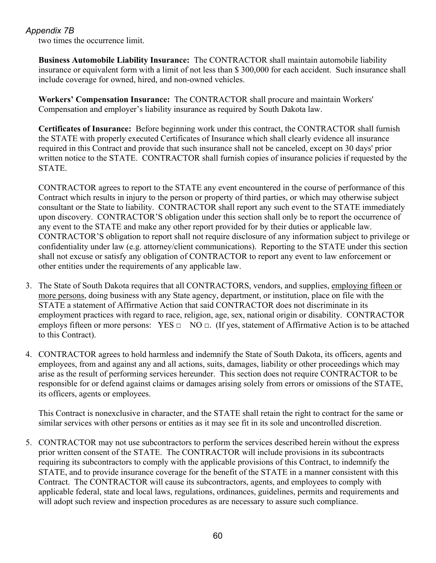two times the occurrence limit.

**Business Automobile Liability Insurance:** The CONTRACTOR shall maintain automobile liability insurance or equivalent form with a limit of not less than \$ 300,000 for each accident. Such insurance shall include coverage for owned, hired, and non-owned vehicles.

**Workers' Compensation Insurance:** The CONTRACTOR shall procure and maintain Workers' Compensation and employer's liability insurance as required by South Dakota law.

**Certificates of Insurance:** Before beginning work under this contract, the CONTRACTOR shall furnish the STATE with properly executed Certificates of Insurance which shall clearly evidence all insurance required in this Contract and provide that such insurance shall not be canceled, except on 30 days' prior written notice to the STATE. CONTRACTOR shall furnish copies of insurance policies if requested by the STATE.

CONTRACTOR agrees to report to the STATE any event encountered in the course of performance of this Contract which results in injury to the person or property of third parties, or which may otherwise subject consultant or the State to liability. CONTRACTOR shall report any such event to the STATE immediately upon discovery. CONTRACTOR'S obligation under this section shall only be to report the occurrence of any event to the STATE and make any other report provided for by their duties or applicable law. CONTRACTOR'S obligation to report shall not require disclosure of any information subject to privilege or confidentiality under law (e.g. attorney/client communications). Reporting to the STATE under this section shall not excuse or satisfy any obligation of CONTRACTOR to report any event to law enforcement or other entities under the requirements of any applicable law.

- 3. The State of South Dakota requires that all CONTRACTORS, vendors, and supplies, employing fifteen or more persons, doing business with any State agency, department, or institution, place on file with the STATE a statement of Affirmative Action that said CONTRACTOR does not discriminate in its employment practices with regard to race, religion, age, sex, national origin or disability. CONTRACTOR employs fifteen or more persons: YES  $\Box$  NO  $\Box$ . (If yes, statement of Affirmative Action is to be attached to this Contract).
- 4. CONTRACTOR agrees to hold harmless and indemnify the State of South Dakota, its officers, agents and employees, from and against any and all actions, suits, damages, liability or other proceedings which may arise as the result of performing services hereunder. This section does not require CONTRACTOR to be responsible for or defend against claims or damages arising solely from errors or omissions of the STATE, its officers, agents or employees.

This Contract is nonexclusive in character, and the STATE shall retain the right to contract for the same or similar services with other persons or entities as it may see fit in its sole and uncontrolled discretion.

5. CONTRACTOR may not use subcontractors to perform the services described herein without the express prior written consent of the STATE. The CONTRACTOR will include provisions in its subcontracts requiring its subcontractors to comply with the applicable provisions of this Contract, to indemnify the STATE, and to provide insurance coverage for the benefit of the STATE in a manner consistent with this Contract. The CONTRACTOR will cause its subcontractors, agents, and employees to comply with applicable federal, state and local laws, regulations, ordinances, guidelines, permits and requirements and will adopt such review and inspection procedures as are necessary to assure such compliance.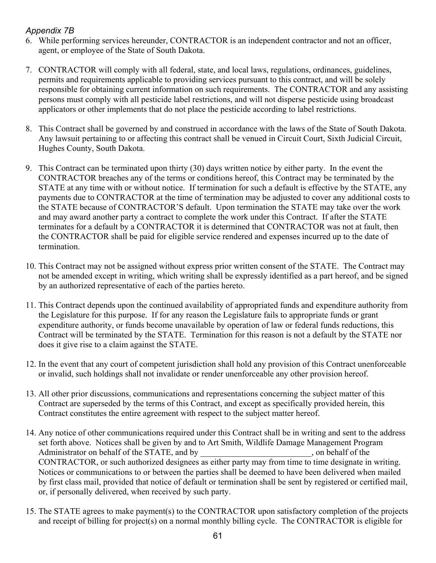- 6. While performing services hereunder, CONTRACTOR is an independent contractor and not an officer, agent, or employee of the State of South Dakota.
- 7. CONTRACTOR will comply with all federal, state, and local laws, regulations, ordinances, guidelines, permits and requirements applicable to providing services pursuant to this contract, and will be solely responsible for obtaining current information on such requirements. The CONTRACTOR and any assisting persons must comply with all pesticide label restrictions, and will not disperse pesticide using broadcast applicators or other implements that do not place the pesticide according to label restrictions.
- 8. This Contract shall be governed by and construed in accordance with the laws of the State of South Dakota. Any lawsuit pertaining to or affecting this contract shall be venued in Circuit Court, Sixth Judicial Circuit, Hughes County, South Dakota.
- 9. This Contract can be terminated upon thirty (30) days written notice by either party. In the event the CONTRACTOR breaches any of the terms or conditions hereof, this Contract may be terminated by the STATE at any time with or without notice. If termination for such a default is effective by the STATE, any payments due to CONTRACTOR at the time of termination may be adjusted to cover any additional costs to the STATE because of CONTRACTOR'S default. Upon termination the STATE may take over the work and may award another party a contract to complete the work under this Contract. If after the STATE terminates for a default by a CONTRACTOR it is determined that CONTRACTOR was not at fault, then the CONTRACTOR shall be paid for eligible service rendered and expenses incurred up to the date of termination.
- 10. This Contract may not be assigned without express prior written consent of the STATE. The Contract may not be amended except in writing, which writing shall be expressly identified as a part hereof, and be signed by an authorized representative of each of the parties hereto.
- 11. This Contract depends upon the continued availability of appropriated funds and expenditure authority from the Legislature for this purpose. If for any reason the Legislature fails to appropriate funds or grant expenditure authority, or funds become unavailable by operation of law or federal funds reductions, this Contract will be terminated by the STATE. Termination for this reason is not a default by the STATE nor does it give rise to a claim against the STATE.
- 12. In the event that any court of competent jurisdiction shall hold any provision of this Contract unenforceable or invalid, such holdings shall not invalidate or render unenforceable any other provision hereof.
- 13. All other prior discussions, communications and representations concerning the subject matter of this Contract are superseded by the terms of this Contract, and except as specifically provided herein, this Contract constitutes the entire agreement with respect to the subject matter hereof.
- 14. Any notice of other communications required under this Contract shall be in writing and sent to the address set forth above. Notices shall be given by and to Art Smith, Wildlife Damage Management Program Administrator on behalf of the STATE, and by  $\Box$ , on behalf of the CONTRACTOR, or such authorized designees as either party may from time to time designate in writing. Notices or communications to or between the parties shall be deemed to have been delivered when mailed by first class mail, provided that notice of default or termination shall be sent by registered or certified mail, or, if personally delivered, when received by such party.
- 15. The STATE agrees to make payment(s) to the CONTRACTOR upon satisfactory completion of the projects and receipt of billing for project(s) on a normal monthly billing cycle. The CONTRACTOR is eligible for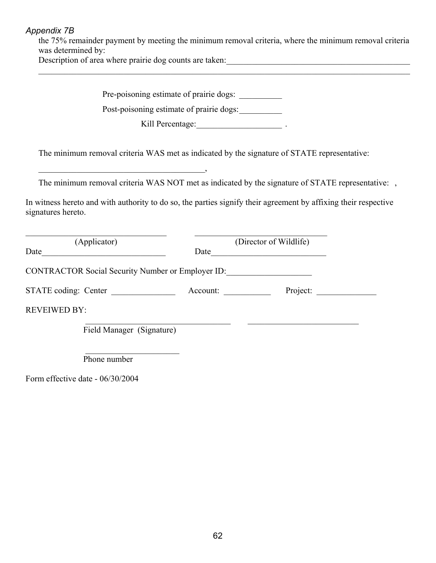the 75% remainder payment by meeting the minimum removal criteria, where the minimum removal criteria was determined by:

 $\mathcal{L}_\mathcal{L} = \{ \mathcal{L}_\mathcal{L} = \{ \mathcal{L}_\mathcal{L} = \{ \mathcal{L}_\mathcal{L} = \{ \mathcal{L}_\mathcal{L} = \{ \mathcal{L}_\mathcal{L} = \{ \mathcal{L}_\mathcal{L} = \{ \mathcal{L}_\mathcal{L} = \{ \mathcal{L}_\mathcal{L} = \{ \mathcal{L}_\mathcal{L} = \{ \mathcal{L}_\mathcal{L} = \{ \mathcal{L}_\mathcal{L} = \{ \mathcal{L}_\mathcal{L} = \{ \mathcal{L}_\mathcal{L} = \{ \mathcal{L}_\mathcal{$ 

Description of area where prairie dog counts are taken:

Pre-poisoning estimate of prairie dogs: Post-poisoning estimate of prairie dogs: Kill Percentage:\_\_\_\_\_\_\_\_\_\_\_\_\_\_\_\_\_\_\_\_ . The minimum removal criteria WAS met as indicated by the signature of STATE representative:  $\overline{\phantom{a}}$ The minimum removal criteria WAS NOT met as indicated by the signature of STATE representative: , In witness hereto and with authority to do so, the parties signify their agreement by affixing their respective signatures hereto.  $\mathcal{L}_\text{max}$  , and the contribution of the contribution of the contribution of the contribution of the contribution of the contribution of the contribution of the contribution of the contribution of the contribution of t (Applicator) (Director of Wildlife) Date\_\_\_\_\_\_\_\_\_\_\_\_\_\_\_\_\_\_\_\_\_\_\_\_\_\_\_\_\_ Date\_\_\_\_\_\_\_\_\_\_\_\_\_\_\_\_\_\_\_\_\_\_\_\_\_\_\_ CONTRACTOR Social Security Number or Employer ID: STATE coding: Center \_\_\_\_\_\_\_\_\_\_\_\_\_\_\_ Account: \_\_\_\_\_\_\_\_\_\_\_ Project: \_\_\_\_\_\_\_\_\_\_\_\_\_\_ REVEIWED BY:  $\frac{1}{2}$  ,  $\frac{1}{2}$  ,  $\frac{1}{2}$  ,  $\frac{1}{2}$  ,  $\frac{1}{2}$  ,  $\frac{1}{2}$  ,  $\frac{1}{2}$  ,  $\frac{1}{2}$  ,  $\frac{1}{2}$  ,  $\frac{1}{2}$  ,  $\frac{1}{2}$  ,  $\frac{1}{2}$  ,  $\frac{1}{2}$  ,  $\frac{1}{2}$  ,  $\frac{1}{2}$  ,  $\frac{1}{2}$  ,  $\frac{1}{2}$  ,  $\frac{1}{2}$  ,  $\frac{1$ Field Manager (Signature)  $\mathcal{L}_\text{max}$  , where  $\mathcal{L}_\text{max}$  , we have the set of  $\mathcal{L}_\text{max}$ Phone number

Form effective date - 06/30/2004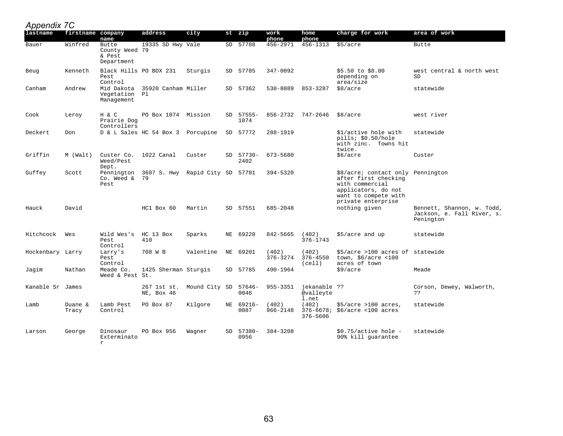| $\sim$<br>lastname | firstname company | name                                            | address                                    | city                 |     | st zip            | work<br>phone     | home<br>phone                      | charge for work                                                                                                                                   | area of work                                                          |
|--------------------|-------------------|-------------------------------------------------|--------------------------------------------|----------------------|-----|-------------------|-------------------|------------------------------------|---------------------------------------------------------------------------------------------------------------------------------------------------|-----------------------------------------------------------------------|
| Bauer              | Winfred           | Butte<br>County Weed 79<br>& Pest<br>Department | 19335 SD Hwy Vale                          |                      |     | SD 57788          | 456-2971          | 456-1313                           | \$5/acre                                                                                                                                          | Butte                                                                 |
| Beug               | Kenneth           | Black Hills PO BOX 231<br>Pest<br>Control       |                                            | Sturgis              |     | SD 57785          | 347-0092          |                                    | \$5.50 to \$8.00<br>depending on<br>area/size                                                                                                     | west central & north west<br>SD                                       |
| Canham             | Andrew            | Vegetation Pl<br>Management                     | Mid Dakota 35920 Canham Miller             |                      |     | SD 57362          | 530-8089          | 853-3287                           | \$8/acre                                                                                                                                          | statewide                                                             |
| Cook               | Leroy             | H & C<br>Prairie Dog<br>Controllers             | PO Box 1074 Mission                        |                      |     | SD 57555-<br>1074 |                   | 856-2732 747-2646                  | \$8/acre                                                                                                                                          | west river                                                            |
| Deckert            | Don               |                                                 | D & L Sales HC 54 Box 3 Porcupine          |                      |     | SD 57772          | 288-1919          |                                    | \$1/active hole with<br>pills; \$0.50/hole<br>with zinc. Towns hit<br>twice.                                                                      | statewide                                                             |
| Griffin            | M (Walt)          | Custer Co.<br>Weed/Pest<br>Dept.                | 1022 Canal                                 | Custer               | SD. | 57730-<br>2402    | 673-5680          |                                    | \$6/acre                                                                                                                                          | Custer                                                                |
| Guffey             | Scott             | $Co.$ Weed $\&$ 79<br>Pest                      | Pennington 3607 S. Hwy Rapid City SD 57701 |                      |     |                   | 394-5320          |                                    | \$8/acre; contact only Pennington<br>after first checking<br>with commercial<br>applicators, do not<br>want to compete with<br>private enterprise |                                                                       |
| Hauck              | David             |                                                 | $HC1$ Box $60$                             | Martin               |     | SD 57551          | 685-2048          |                                    | nothing given                                                                                                                                     | Bennett, Shannon, w. Todd,<br>Jackson, e. Fall River, s.<br>Penington |
| Hitchcock          | Wes               | Wild Wes's<br>Pest<br>Control                   | HC 13 Box<br>410                           | Sparks               | ΝE  | 69220             | 842-5665          | (402)<br>$376 - 1743$              | \$5/acre and up                                                                                                                                   | statewide                                                             |
| Hockenbary Larry   |                   | Larry's<br>Pest<br>Control                      | 708 W B                                    | Valentine            | ΝE  | 69201             | (402)<br>376-3274 | (402)<br>376-4550<br>(cell)        | \$5/acre >100 acres of statewide<br>town, $$6/acre$ <100<br>acres of town                                                                         |                                                                       |
| Jagim              | Nathan            | Meade Co.<br>Weed & Pest St.                    | 1425 Sherman Sturgis                       |                      |     | SD 57785          | 490-1964          |                                    | \$9/acre                                                                                                                                          | Meade                                                                 |
| Kanable Sr James   |                   |                                                 | 267 1st st.<br>NE, Box 46                  | Mound City SD 57646- |     | 0046              | 955-3351          | jekanable ??<br>@valleyte<br>1.net |                                                                                                                                                   | Corson, Dewey, Walworth,<br>??                                        |
| Lamb               | Duane &<br>Tracy  | Lamb Pest<br>Control                            | PO Box 87                                  | Kilgore              |     | NE 69216-<br>0087 | (402)<br>966-2148 | (402)<br>376-5606                  | $$5/acre >100 acres$ ,<br>376-6678; \$6/acre <100 acres                                                                                           | statewide                                                             |
| Larson             | George            | Dinosaur<br>Exterminato<br>r                    | PO Box 956                                 | Waqner               | SD  | 57380-<br>0956    | 384-3208          |                                    | $$0.75/active hole -$<br>90% kill guarantee                                                                                                       | statewide                                                             |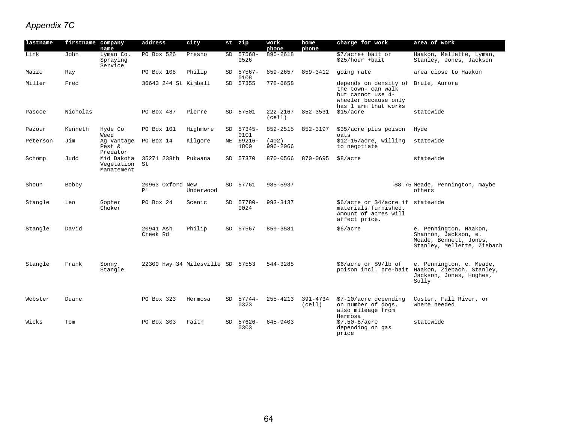| lastname | firstname company | name                                   | address                          | city      |     | st zip            | work<br>phone      | home<br>phone      | charge for work                                                                                                                | area of work                                                                                                    |
|----------|-------------------|----------------------------------------|----------------------------------|-----------|-----|-------------------|--------------------|--------------------|--------------------------------------------------------------------------------------------------------------------------------|-----------------------------------------------------------------------------------------------------------------|
| Link     | John              | Lyman Co.<br>Spraying<br>Service       | PO Box 526                       | Presho    | SD. | $57568 -$<br>0526 | 895-2618           |                    | \$7/acre+ bait or<br>\$25/hour +bait                                                                                           | Haakon, Mellette, Lyman,<br>Stanley, Jones, Jackson                                                             |
| Maize    | Ray               |                                        | PO Box 108                       | Philip    | SD. | 57567-<br>0108    | 859-2657           | 859-3412           | going rate                                                                                                                     | area close to Haakon                                                                                            |
| Miller   | Fred              |                                        | 36643 244 St Kimball             |           |     | SD 57355          | 778-6658           |                    | depends on density of Brule, Aurora<br>the town- can walk<br>but cannot use 4-<br>wheeler because only<br>has 1 arm that works |                                                                                                                 |
| Pascoe   | Nicholas          |                                        | PO Box 487                       | Pierre    |     | SD 57501          | 222-2167<br>(cell) | 852-3531           | \$15/acre                                                                                                                      | statewide                                                                                                       |
| Pazour   | Kenneth           | Hyde Co<br>Weed                        | PO Box 101                       | Highmore  |     | SD 57345-<br>0101 | 852-2515           | 852-3197           | \$35/acre plus poison<br>oats                                                                                                  | Hyde                                                                                                            |
| Peterson | Jim               | Ag Vantage<br>Pest &<br>Predator       | PO Box 14                        | Kilgore   | NE  | 69216-<br>1800    | (402)<br>996-2066  |                    | \$12-15/acre, willing<br>to negotiate                                                                                          | statewide                                                                                                       |
| Schomp   | Judd              | Mid Dakota<br>Vegetation<br>Manatement | 35271 238th<br>St                | Pukwana   | SD  | 57370             | 870-0566           | 870-0695           | \$8/acre                                                                                                                       | statewide                                                                                                       |
| Shoun    | <b>Bobby</b>      |                                        | 20963 Oxford New<br>P1           | Underwood |     | SD 57761          | 985-5937           |                    |                                                                                                                                | \$8.75 Meade, Pennington, maybe<br>others                                                                       |
| Stangle  | Leo               | Gopher<br>Choker                       | PO Box 24                        | Scenic    |     | SD 57780-<br>0024 | 993-3137           |                    | \$6/acre or \$4/acre if statewide<br>materials furnished.<br>Amount of acres will<br>affect price.                             |                                                                                                                 |
| Stangle  | David             |                                        | 20941 Ash<br>Creek Rd            | Philip    |     | SD 57567          | 859-3581           |                    | \$6/acre                                                                                                                       | e. Pennington, Haakon,<br>Shannon, Jackson, e.<br>Meade, Bennett, Jones,<br>Stanley, Mellette, Ziebach          |
| Stangle  | Frank             | Sonny<br>Stangle                       | 22300 Hwy 34 Milesville SD 57553 |           |     |                   | 544-3285           |                    | $$6/acre$ or $$9/lb$ of                                                                                                        | e. Pennington, e. Meade,<br>poison incl. pre-bait Haakon, Ziebach, Stanley,<br>Jackson, Jones, Hughes,<br>Sully |
| Webster  | Duane             |                                        | PO Box 323                       | Hermosa   | SD. | 57744-<br>0323    | $255 - 4213$       | 391-4734<br>(cell) | \$7-10/acre depending<br>on number of dogs,<br>also mileage from<br>Hermosa                                                    | Custer, Fall River, or<br>where needed                                                                          |
| Wicks    | Tom               |                                        | PO Box 303                       | Faith     | SD. | 57626-<br>0303    | 645-9403           |                    | $$7.50 - 8/acre$<br>depending on gas<br>price                                                                                  | statewide                                                                                                       |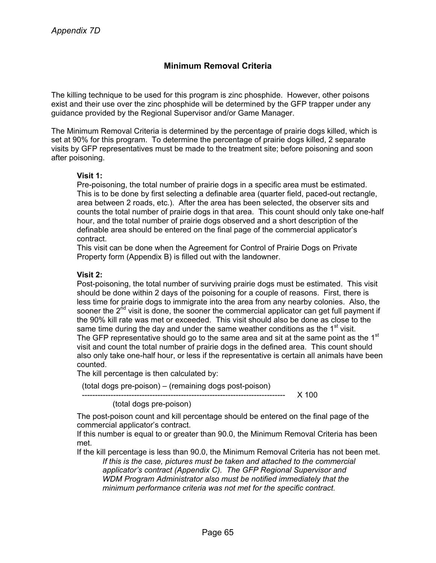## **Minimum Removal Criteria**

The killing technique to be used for this program is zinc phosphide. However, other poisons exist and their use over the zinc phosphide will be determined by the GFP trapper under any guidance provided by the Regional Supervisor and/or Game Manager.

The Minimum Removal Criteria is determined by the percentage of prairie dogs killed, which is set at 90% for this program. To determine the percentage of prairie dogs killed, 2 separate visits by GFP representatives must be made to the treatment site; before poisoning and soon after poisoning.

#### **Visit 1:**

Pre-poisoning, the total number of prairie dogs in a specific area must be estimated. This is to be done by first selecting a definable area (quarter field, paced-out rectangle, area between 2 roads, etc.). After the area has been selected, the observer sits and counts the total number of prairie dogs in that area. This count should only take one-half hour, and the total number of prairie dogs observed and a short description of the definable area should be entered on the final page of the commercial applicator's contract.

This visit can be done when the Agreement for Control of Prairie Dogs on Private Property form (Appendix B) is filled out with the landowner.

#### **Visit 2:**

Post-poisoning, the total number of surviving prairie dogs must be estimated. This visit should be done within 2 days of the poisoning for a couple of reasons. First, there is less time for prairie dogs to immigrate into the area from any nearby colonies. Also, the sooner the  $2<sup>nd</sup>$  visit is done, the sooner the commercial applicator can get full payment if the 90% kill rate was met or exceeded. This visit should also be done as close to the same time during the day and under the same weather conditions as the  $1<sup>st</sup>$  visit. The GFP representative should go to the same area and sit at the same point as the  $1<sup>st</sup>$ visit and count the total number of prairie dogs in the defined area. This count should also only take one-half hour, or less if the representative is certain all animals have been counted.

The kill percentage is then calculated by:

(total dogs pre-poison) – (remaining dogs post-poison)

------------------------------------------------------------------------------ X 100

(total dogs pre-poison)

The post-poison count and kill percentage should be entered on the final page of the commercial applicator's contract.

If this number is equal to or greater than 90.0, the Minimum Removal Criteria has been met.

If the kill percentage is less than 90.0, the Minimum Removal Criteria has not been met. *If this is the case, pictures must be taken and attached to the commercial*

*applicator's contract (Appendix C). The GFP Regional Supervisor and WDM Program Administrator also must be notified immediately that the minimum performance criteria was not met for the specific contract.*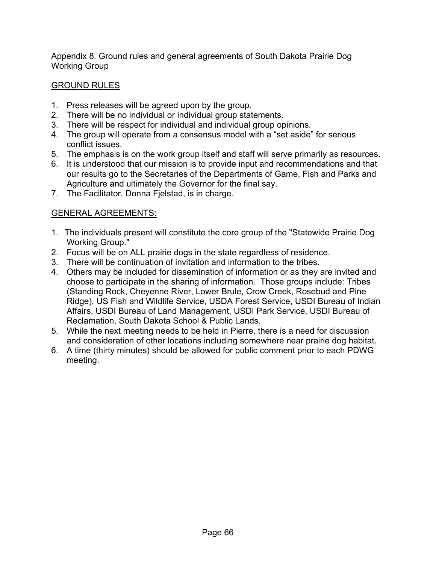Appendix 8. Ground rules and general agreements of South Dakota Prairie Dog Working Group

## GROUND RULES

- 1. Press releases will be agreed upon by the group.
- 2. There will be no individual or individual group statements.
- 3. There will be respect for individual and individual group opinions.
- 4. The group will operate from a consensus model with a "set aside" for serious conflict issues.
- 5. The emphasis is on the work group itself and staff will serve primarily as resources.
- 6. It is understood that our mission is to provide input and recommendations and that our results go to the Secretaries of the Departments of Game, Fish and Parks and Agriculture and ultimately the Governor for the final say.
- 7. The Facilitator, Donna Fjelstad, is in charge.

## GENERAL AGREEMENTS:

- 1. The individuals present will constitute the core group of the "Statewide Prairie Dog Working Group."
- 2. Focus will be on ALL prairie dogs in the state regardless of residence.
- 3. There will be continuation of invitation and information to the tribes.
- 4. Others may be included for dissemination of information or as they are invited and choose to participate in the sharing of information. Those groups include: Tribes (Standing Rock, Cheyenne River, Lower Brule, Crow Creek, Rosebud and Pine Ridge), US Fish and Wildlife Service, USDA Forest Service, USDI Bureau of Indian Affairs, USDI Bureau of Land Management, USDI Park Service, USDI Bureau of Reclamation, South Dakota School & Public Lands.
- 5. While the next meeting needs to be held in Pierre, there is a need for discussion and consideration of other locations including somewhere near prairie dog habitat.
- 6. A time (thirty minutes) should be allowed for public comment prior to each PDWG meeting.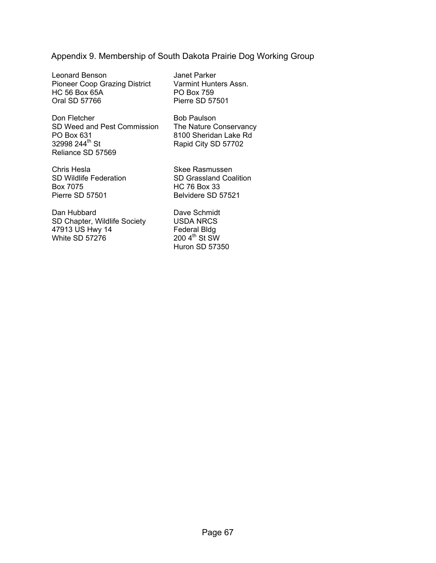## Appendix 9. Membership of South Dakota Prairie Dog Working Group

Leonard Benson Pioneer Coop Grazing District HC 56 Box 65A Oral SD 57766

Don Fletcher SD Weed and Pest Commission PO Box 631 32998 244<sup>th</sup> St Reliance SD 57569

Janet Parker Varmint Hunters Assn. PO Box 759 Pierre SD 57501

Bob Paulson The Nature Conservancy 8100 Sheridan Lake Rd Rapid City SD 57702

Chris Hesla SD Wildlife Federation Box 7075 Pierre SD 57501

Dan Hubbard SD Chapter, Wildlife Society 47913 US Hwy 14 White SD 57276

Skee Rasmussen SD Grassland Coalition HC 76 Box 33 Belvidere SD 57521

Dave Schmidt USDA NRCS Federal Bldg  $200$  4<sup>th</sup> St SW Huron SD 57350